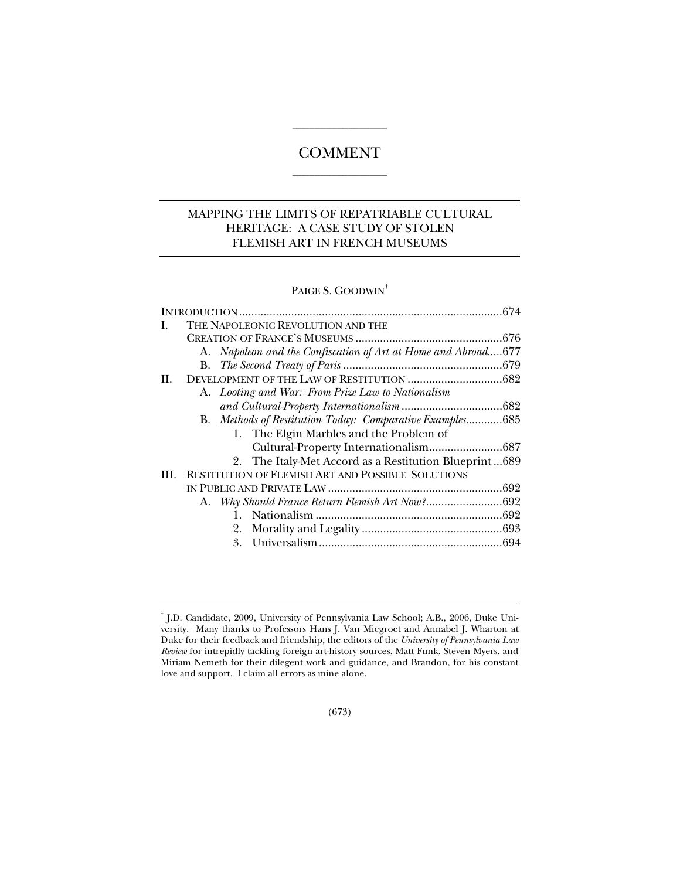# **COMMENT**  $\overline{\phantom{a}}$  , where the contract of the contract of  $\overline{\phantom{a}}$

 $\overline{\phantom{a}}$  , where the contract of  $\overline{\phantom{a}}$ 

# MAPPING THE LIMITS OF REPATRIABLE CULTURAL HERITAGE: A CASE STUDY OF STOLEN FLEMISH ART IN FRENCH MUSEUMS

PAIGE S. GOODWIN<sup>†</sup>

|    | THE NAPOLEONIC REVOLUTION AND THE                             |  |
|----|---------------------------------------------------------------|--|
|    |                                                               |  |
|    | A. Napoleon and the Confiscation of Art at Home and Abroad677 |  |
|    |                                                               |  |
| Н. |                                                               |  |
|    | A. Looting and War: From Prize Law to Nationalism             |  |
|    |                                                               |  |
|    | B. Methods of Restitution Today: Comparative Examples685      |  |
|    | 1. The Elgin Marbles and the Problem of                       |  |
|    |                                                               |  |
|    | 2. The Italy-Met Accord as a Restitution Blueprint689         |  |
|    | III. RESTITUTION OF FLEMISH ART AND POSSIBLE SOLUTIONS        |  |
|    |                                                               |  |
|    |                                                               |  |
|    |                                                               |  |
|    |                                                               |  |
|    |                                                               |  |
|    |                                                               |  |

<sup>†</sup> J.D. Candidate, 2009, University of Pennsylvania Law School; A.B., 2006, Duke University. Many thanks to Professors Hans J. Van Miegroet and Annabel J. Wharton at Duke for their feedback and friendship, the editors of the *University of Pennsylvania Law Review* for intrepidly tackling foreign art-history sources, Matt Funk, Steven Myers, and Miriam Nemeth for their dilegent work and guidance, and Brandon, for his constant love and support. I claim all errors as mine alone.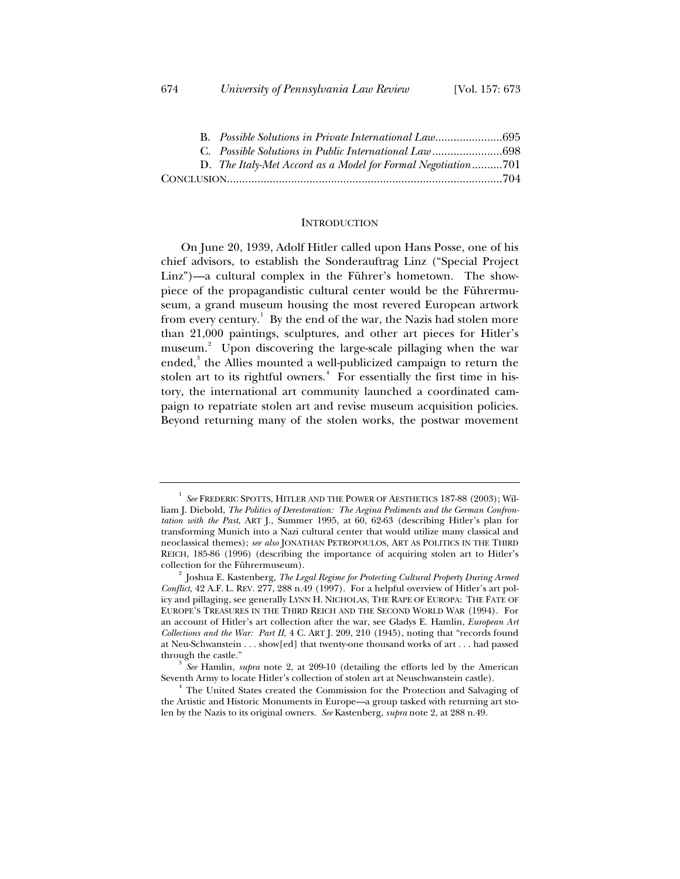|  | D. The Italy-Met Accord as a Model for Formal Negotiation701 |  |
|--|--------------------------------------------------------------|--|
|  |                                                              |  |

#### **INTRODUCTION**

On June 20, 1939, Adolf Hitler called upon Hans Posse, one of his chief advisors, to establish the Sonderauftrag Linz ("Special Project Linz")—a cultural complex in the Führer's hometown. The showpiece of the propagandistic cultural center would be the Führermuseum, a grand museum housing the most revered European artwork from every century.<sup>1</sup> By the end of the war, the Nazis had stolen more than 21,000 paintings, sculptures, and other art pieces for Hitler's museum.<sup>2</sup> Upon discovering the large-scale pillaging when the war ended,<sup>3</sup> the Allies mounted a well-publicized campaign to return the stolen art to its rightful owners.<sup>4</sup> For essentially the first time in history, the international art community launched a coordinated campaign to repatriate stolen art and revise museum acquisition policies. Beyond returning many of the stolen works, the postwar movement

<sup>1</sup> *See* FREDERIC SPOTTS, HITLER AND THE POWER OF AESTHETICS 187-88 (2003); William J. Diebold, *The Politics of Derestoration: The Aegina Pediments and the German Confrontation with the Past*, ART J., Summer 1995, at 60, 62-63 (describing Hitler's plan for transforming Munich into a Nazi cultural center that would utilize many classical and neoclassical themes); *see also* JONATHAN PETROPOULOS, ART AS POLITICS IN THE THIRD REICH, 185-86 (1996) (describing the importance of acquiring stolen art to Hitler's collection for the Führermuseum). 2

Joshua E. Kastenberg, *The Legal Regime for Protecting Cultural Property During Armed Conflict*, 42 A.F. L. REV. 277, 288 n.49 (1997). For a helpful overview of Hitler's art policy and pillaging, see generally LYNN H. NICHOLAS, THE RAPE OF EUROPA: THE FATE OF EUROPE'S TREASURES IN THE THIRD REICH AND THE SECOND WORLD WAR (1994). For an account of Hitler's art collection after the war, see Gladys E. Hamlin, *European Art Collections and the War: Part II*, 4 C. ART J. 209, 210 (1945), noting that "records found at Neu-Schwanstein . . . show[ed] that twenty-one thousand works of art . . . had passed through the castle." 3 *See* Hamlin, *supra* note 2, at 209-10 (detailing the efforts led by the American

Seventh Army to locate Hitler's collection of stolen art at Neuschwanstein castle). 4

<sup>&</sup>lt;sup>4</sup> The United States created the Commission for the Protection and Salvaging of the Artistic and Historic Monuments in Europe—a group tasked with returning art stolen by the Nazis to its original owners. *See* Kastenberg, *supra* note 2, at 288 n.49.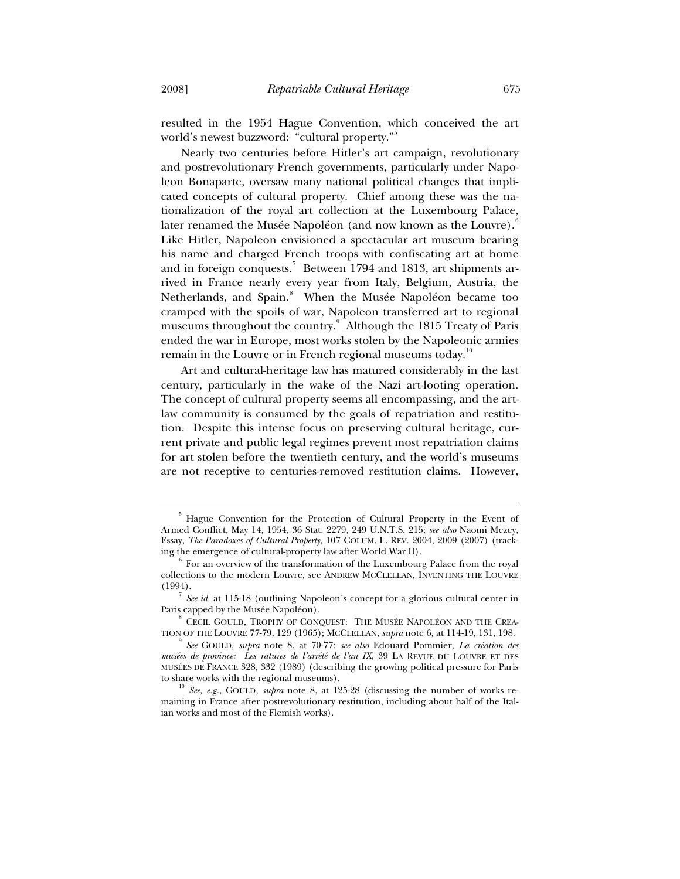resulted in the 1954 Hague Convention, which conceived the art world's newest buzzword: "cultural property."

Nearly two centuries before Hitler's art campaign, revolutionary and postrevolutionary French governments, particularly under Napoleon Bonaparte, oversaw many national political changes that implicated concepts of cultural property. Chief among these was the nationalization of the royal art collection at the Luxembourg Palace, later renamed the Musée Napoléon (and now known as the Louvre). Like Hitler, Napoleon envisioned a spectacular art museum bearing his name and charged French troops with confiscating art at home and in foreign conquests.<sup>7</sup> Between 1794 and 1813, art shipments arrived in France nearly every year from Italy, Belgium, Austria, the Netherlands, and Spain.<sup>8</sup> When the Musée Napoléon became too cramped with the spoils of war, Napoleon transferred art to regional museums throughout the country.<sup>9</sup> Although the 1815 Treaty of Paris ended the war in Europe, most works stolen by the Napoleonic armies remain in the Louvre or in French regional museums today.<sup>10</sup>

Art and cultural-heritage law has matured considerably in the last century, particularly in the wake of the Nazi art-looting operation. The concept of cultural property seems all encompassing, and the artlaw community is consumed by the goals of repatriation and restitution. Despite this intense focus on preserving cultural heritage, current private and public legal regimes prevent most repatriation claims for art stolen before the twentieth century, and the world's museums are not receptive to centuries-removed restitution claims. However,

<sup>&</sup>lt;sup>5</sup> Hague Convention for the Protection of Cultural Property in the Event of Armed Conflict, May 14, 1954, 36 Stat. 2279, 249 U.N.T.S. 215; *see also* Naomi Mezey, Essay, *The Paradoxes of Cultural Property*, 107 COLUM. L. REV. 2004, 2009 (2007) (tracking the emergence of cultural-property law after World War II). 6

For an overview of the transformation of the Luxembourg Palace from the royal collections to the modern Louvre, see ANDREW MCCLELLAN, INVENTING THE LOUVRE (1994).

<sup>7</sup> *See id.* at 115-18 (outlining Napoleon's concept for a glorious cultural center in Paris capped by the Musée Napoléon). 8 CECIL GOULD, TROPHY OF CONQUEST: THE MUSÉE NAPOLÉON AND THE CREA-

TION OF THE LOUVRE 77-79, 129 (1965); MCCLELLAN, *supra* note 6, at 114-19, 131, 198. 9 *See* GOULD, *supra* note 8, at 70-77; *see also* Edouard Pommier, *La création des* 

*musées de province: Les ratures de l'arrêté de l'an IX*, 39 LA REVUE DU LOUVRE ET DES MUSÉES DE FRANCE 328, 332 (1989) (describing the growing political pressure for Paris to share works with the regional museums).<br><sup>10</sup> *See, e.g.*, GOULD, *supra* note 8, at 125-28 (discussing the number of works re-

maining in France after postrevolutionary restitution, including about half of the Italian works and most of the Flemish works).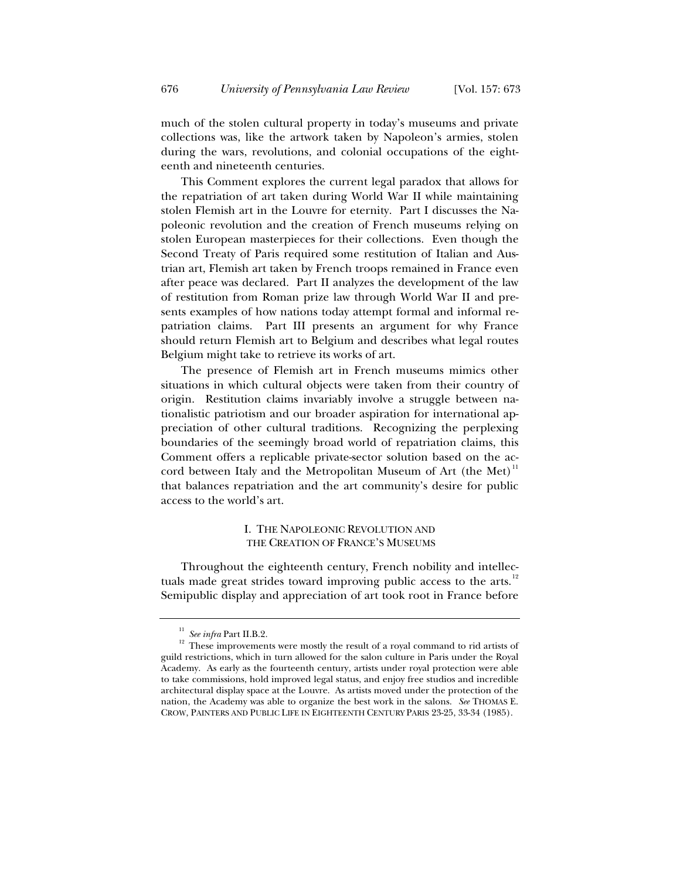much of the stolen cultural property in today's museums and private collections was, like the artwork taken by Napoleon's armies, stolen during the wars, revolutions, and colonial occupations of the eighteenth and nineteenth centuries.

This Comment explores the current legal paradox that allows for the repatriation of art taken during World War II while maintaining stolen Flemish art in the Louvre for eternity. Part I discusses the Napoleonic revolution and the creation of French museums relying on stolen European masterpieces for their collections. Even though the Second Treaty of Paris required some restitution of Italian and Austrian art, Flemish art taken by French troops remained in France even after peace was declared. Part II analyzes the development of the law of restitution from Roman prize law through World War II and presents examples of how nations today attempt formal and informal repatriation claims. Part III presents an argument for why France should return Flemish art to Belgium and describes what legal routes Belgium might take to retrieve its works of art.

The presence of Flemish art in French museums mimics other situations in which cultural objects were taken from their country of origin. Restitution claims invariably involve a struggle between nationalistic patriotism and our broader aspiration for international appreciation of other cultural traditions. Recognizing the perplexing boundaries of the seemingly broad world of repatriation claims, this Comment offers a replicable private-sector solution based on the accord between Italy and the Metropolitan Museum of Art (the Met) $11$ that balances repatriation and the art community's desire for public access to the world's art.

# I. THE NAPOLEONIC REVOLUTION AND THE CREATION OF FRANCE'S MUSEUMS

Throughout the eighteenth century, French nobility and intellectuals made great strides toward improving public access to the arts.<sup>12</sup> Semipublic display and appreciation of art took root in France before

<sup>&</sup>lt;sup>11</sup> *See infra* Part II.B.2. <sup>12</sup> These improvements were mostly the result of a royal command to rid artists of guild restrictions, which in turn allowed for the salon culture in Paris under the Royal Academy. As early as the fourteenth century, artists under royal protection were able to take commissions, hold improved legal status, and enjoy free studios and incredible architectural display space at the Louvre. As artists moved under the protection of the nation, the Academy was able to organize the best work in the salons. *See* THOMAS E. CROW, PAINTERS AND PUBLIC LIFE IN EIGHTEENTH CENTURY PARIS 23-25, 33-34 (1985).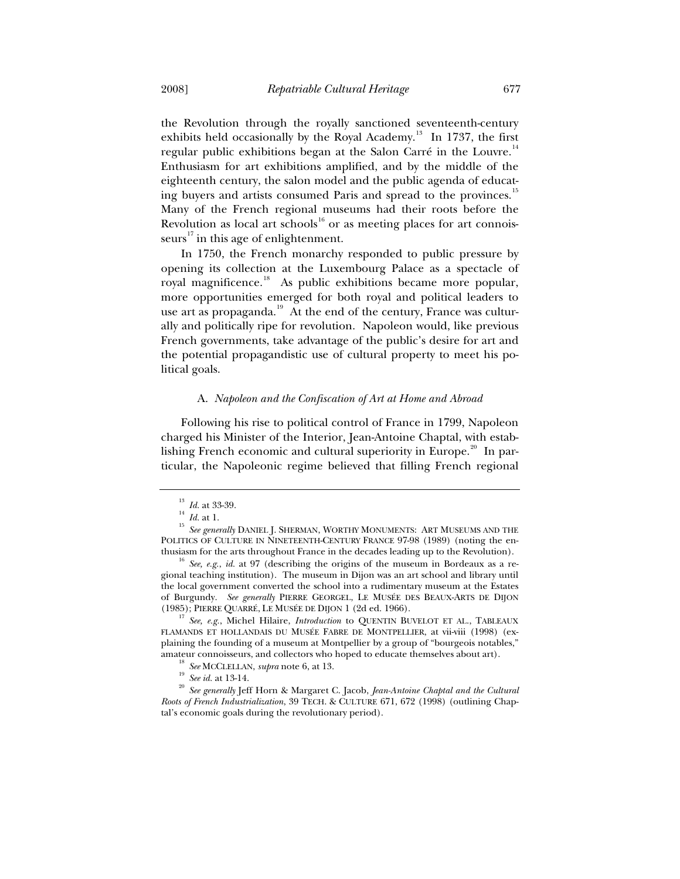the Revolution through the royally sanctioned seventeenth-century exhibits held occasionally by the Royal Academy.<sup>13</sup> In 1737, the first regular public exhibitions began at the Salon Carré in the Louvre.<sup>1</sup> Enthusiasm for art exhibitions amplified, and by the middle of the eighteenth century, the salon model and the public agenda of educating buyers and artists consumed Paris and spread to the provinces.<sup>15</sup> Many of the French regional museums had their roots before the Revolution as local art schools $^{16}$  or as meeting places for art connoisseurs<sup>17</sup> in this age of enlightenment.

In 1750, the French monarchy responded to public pressure by opening its collection at the Luxembourg Palace as a spectacle of royal magnificence.<sup>18</sup> As public exhibitions became more popular, more opportunities emerged for both royal and political leaders to use art as propaganda.<sup>19</sup> At the end of the century, France was culturally and politically ripe for revolution. Napoleon would, like previous French governments, take advantage of the public's desire for art and the potential propagandistic use of cultural property to meet his political goals.

## A. *Napoleon and the Confiscation of Art at Home and Abroad*

Following his rise to political control of France in 1799, Napoleon charged his Minister of the Interior, Jean-Antoine Chaptal, with establishing French economic and cultural superiority in Europe.<sup>20</sup> In particular, the Napoleonic regime believed that filling French regional

(1985); PIERRE QUARRÉ, LE MUSÉE DE DIJON 1 (2d ed. 1966). 17 *See, e.g.*, Michel Hilaire, *Introduction* to QUENTIN BUVELOT ET AL., TABLEAUX FLAMANDS ET HOLLANDAIS DU MUSÉE FABRE DE MONTPELLIER, at vii-viii (1998) (explaining the founding of a museum at Montpellier by a group of "bourgeois notables,"

<sup>&</sup>lt;sup>13</sup> *Id.* at 33-39.<br><sup>14</sup> *Id.* at 1. 15 *See generally* DANIEL J. SHERMAN, WORTHY MONUMENTS: ART MUSEUMS AND THE POLITICS OF CULTURE IN NINETEENTH-CENTURY FRANCE 97-98 (1989) (noting the enthusiasm for the arts throughout France in the decades leading up to the Revolution). 16 *See, e.g.*, *id.* at 97 (describing the origins of the museum in Bordeaux as a re-

gional teaching institution). The museum in Dijon was an art school and library until the local government converted the school into a rudimentary museum at the Estates of Burgundy. *See generally* PIERRE GEORGEL, LE MUSÉE DES BEAUX-ARTS DE DIJON

<sup>&</sup>lt;sup>18</sup> See MCCLELLAN, supra note 6, at 13.<br><sup>19</sup> See id. at 13-14.<br><sup>20</sup> See generally Jeff Horn & Margaret C. Jacob, *Jean-Antoine Chaptal and the Cultural Roots of French Industrialization*, 39 TECH.&CULTURE 671, 672 (1998) (outlining Chaptal's economic goals during the revolutionary period).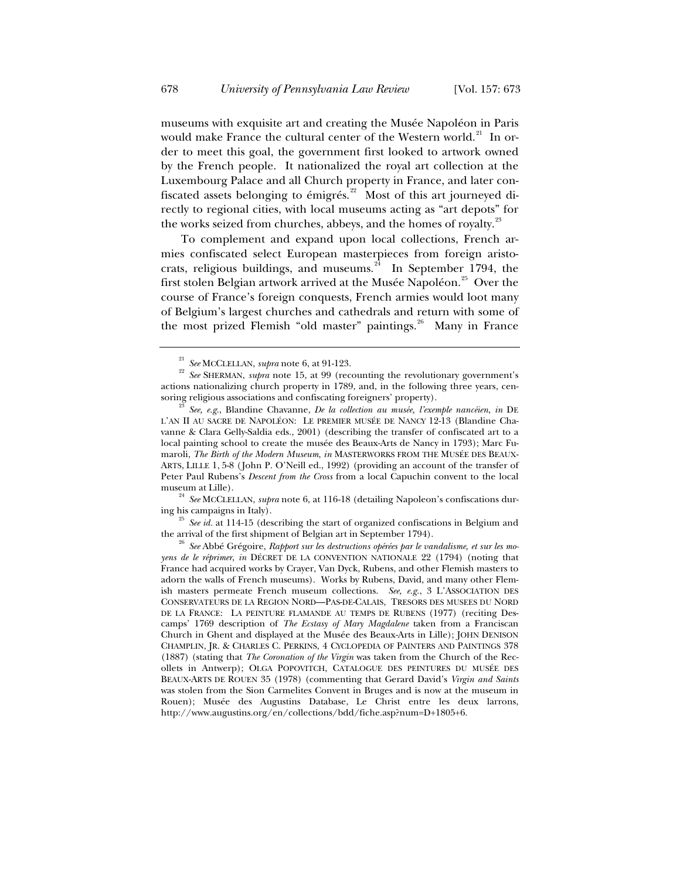museums with exquisite art and creating the Musée Napoléon in Paris would make France the cultural center of the Western world.<sup>21</sup> In order to meet this goal, the government first looked to artwork owned by the French people. It nationalized the royal art collection at the Luxembourg Palace and all Church property in France, and later confiscated assets belonging to émigrés.<sup>22</sup> Most of this art journeyed directly to regional cities, with local museums acting as "art depots" for the works seized from churches, abbeys, and the homes of royalty.<sup>23</sup>

To complement and expand upon local collections, French armies confiscated select European masterpieces from foreign aristocrats, religious buildings, and museums. $2^4$  In September 1794, the first stolen Belgian artwork arrived at the Musée Napoléon.<sup>25</sup> Over the course of France's foreign conquests, French armies would loot many of Belgium's largest churches and cathedrals and return with some of the most prized Flemish "old master" paintings. $26$  Many in France

<sup>24</sup> *See* MCCLELLAN, *supra* note 6, at 116-18 (detailing Napoleon's confiscations during his campaigns in Italy).

<sup>25</sup> *See id.* at 114-15 (describing the start of organized confiscations in Belgium and the arrival of the first shipment of Belgian art in September 1794).

<sup>&</sup>lt;sup>21</sup> *See* MCCLELLAN, *supra* note 6, at 91-123.<br><sup>22</sup> *See* SHERMAN, *supra* note 15, at 99 (recounting the revolutionary government's actions nationalizing church property in 1789, and, in the following three years, censoring religious associations and confiscating foreigners' property).

soring religious associations and confiscating foreigners' property). 23 *See, e.g.*, Blandine Chavanne, *De la collection au musée, l'exemple nancéien*, *in* DE L'AN II AU SACRE DE NAPOLÉON: LE PREMIER MUSÉE DE NANCY 12-13 (Blandine Chavanne & Clara Gelly-Saldia eds., 2001) (describing the transfer of confiscated art to a local painting school to create the musée des Beaux-Arts de Nancy in 1793); Marc Fumaroli, *The Birth of the Modern Museum*, *in* MASTERWORKS FROM THE MUSÉE DES BEAUX-ARTS, LILLE 1, 5-8 (John P. O'Neill ed., 1992) (providing an account of the transfer of Peter Paul Rubens's *Descent from the Cross* from a local Capuchin convent to the local

<sup>&</sup>lt;sup>26</sup> See Abbé Grégoire, Rapport sur les destructions opérées par le vandalisme, et sur les mo*yens de le réprimer*, *in* DÉCRET DE LA CONVENTION NATIONALE 22 (1794) (noting that France had acquired works by Crayer, Van Dyck, Rubens, and other Flemish masters to adorn the walls of French museums). Works by Rubens, David, and many other Flemish masters permeate French museum collections. *See, e.g.*, 3 L'ASSOCIATION DES CONSERVATEURS DE LA REGION NORD—PAS-DE-CALAIS, TRESORS DES MUSEES DU NORD DE LA FRANCE: LA PEINTURE FLAMANDE AU TEMPS DE RUBENS (1977) (reciting Descamps' 1769 description of *The Ecstasy of Mary Magdalene* taken from a Franciscan Church in Ghent and displayed at the Musée des Beaux-Arts in Lille); JOHN DENISON CHAMPLIN, JR.&CHARLES C. PERKINS, 4 CYCLOPEDIA OF PAINTERS AND PAINTINGS 378 (1887) (stating that *The Coronation of the Virgin* was taken from the Church of the Recollets in Antwerp); OLGA POPOVITCH, CATALOGUE DES PEINTURES DU MUSÉE DES BEAUX-ARTS DE ROUEN 35 (1978) (commenting that Gerard David's *Virgin and Saints* was stolen from the Sion Carmelites Convent in Bruges and is now at the museum in Rouen); Musée des Augustins Database, Le Christ entre les deux larrons, http://www.augustins.org/en/collections/bdd/fiche.asp?num=D+1805+6.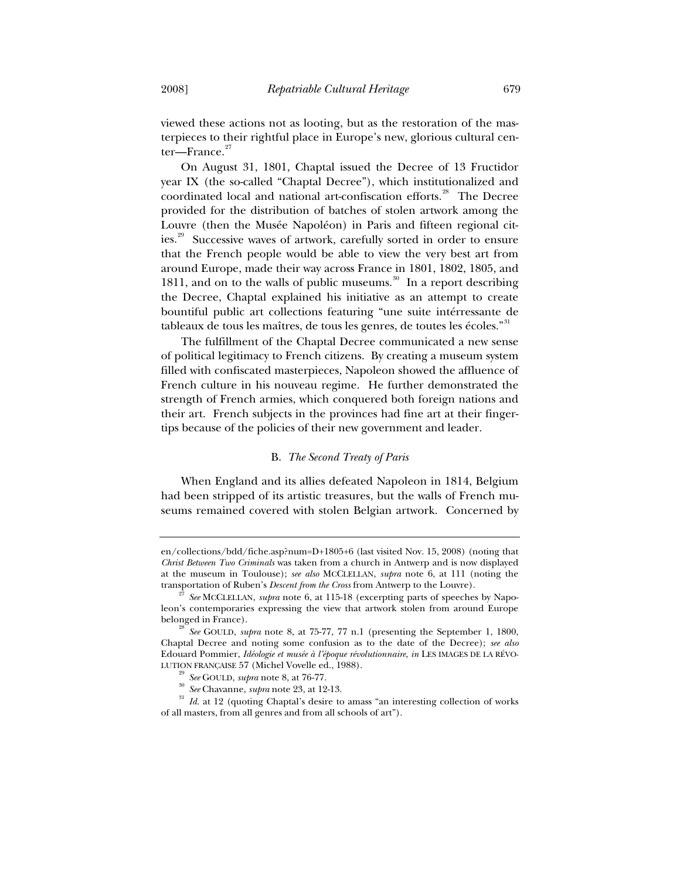viewed these actions not as looting, but as the restoration of the masterpieces to their rightful place in Europe's new, glorious cultural cen $ter$ —France. $2^2$ 

On August 31, 1801, Chaptal issued the Decree of 13 Fructidor year IX (the so-called "Chaptal Decree"), which institutionalized and coordinated local and national art-confiscation efforts.<sup>28</sup> The Decree provided for the distribution of batches of stolen artwork among the Louvre (then the Musée Napoléon) in Paris and fifteen regional cities.<sup>29</sup> Successive waves of artwork, carefully sorted in order to ensure that the French people would be able to view the very best art from around Europe, made their way across France in 1801, 1802, 1805, and 1811, and on to the walls of public museums.<sup>30</sup> In a report describing the Decree, Chaptal explained his initiative as an attempt to create bountiful public art collections featuring "une suite intérressante de tableaux de tous les maîtres, de tous les genres, de toutes les écoles."<sup>31</sup>

The fulfillment of the Chaptal Decree communicated a new sense of political legitimacy to French citizens. By creating a museum system filled with confiscated masterpieces, Napoleon showed the affluence of French culture in his nouveau regime. He further demonstrated the strength of French armies, which conquered both foreign nations and their art. French subjects in the provinces had fine art at their fingertips because of the policies of their new government and leader.

# B. *The Second Treaty of Paris*

When England and its allies defeated Napoleon in 1814, Belgium had been stripped of its artistic treasures, but the walls of French museums remained covered with stolen Belgian artwork. Concerned by

en/collections/bdd/fiche.asp?num=D+1805+6 (last visited Nov. 15, 2008) (noting that *Christ Between Two Criminals* was taken from a church in Antwerp and is now displayed at the museum in Toulouse); *see also* MCCLELLAN, *supra* note 6, at 111 (noting the transportation of Ruben's *Descent from the Cross* from Antwerp to the Louvre). 27 *See* MCCLELLAN, *supra* note 6, at 115-18 (excerpting parts of speeches by Napo-

leon's contemporaries expressing the view that artwork stolen from around Europe belonged in France). 28 *See* GOULD, *supra* note 8, at 75-77, 77 n.1 (presenting the September 1, 1800,

Chaptal Decree and noting some confusion as to the date of the Decree); *see also* Edouard Pommier, *Idéologie et musée à l'époque révolutionnaire*, *in* LES IMAGES DE LA RÉVO-

LUTION FRANÇAISE 57 (Michel Vovelle ed., 1988).<br>
<sup>29</sup> See GOULD, supra note 8, at 76-77.<br>
<sup>30</sup> See Chavanne, supra note 23, at 12-13.<br>
<sup>31</sup> Id. at 12 (quoting Chaptal's desire to amass "an interesting collection of works of all masters, from all genres and from all schools of art").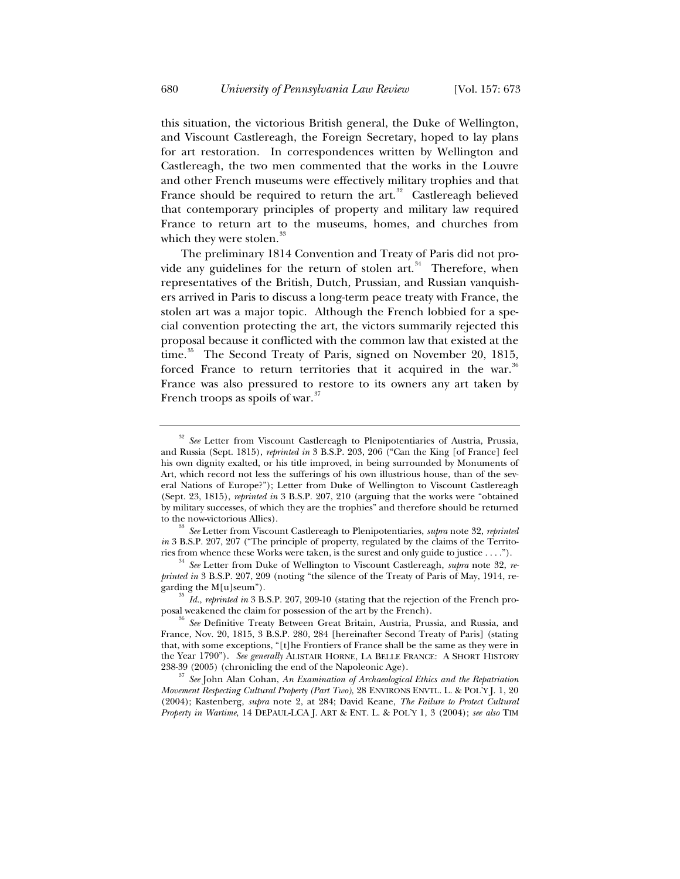this situation, the victorious British general, the Duke of Wellington, and Viscount Castlereagh, the Foreign Secretary, hoped to lay plans for art restoration. In correspondences written by Wellington and Castlereagh, the two men commented that the works in the Louvre and other French museums were effectively military trophies and that France should be required to return the  $art^3$ <sup>32</sup> Castlereagh believed that contemporary principles of property and military law required France to return art to the museums, homes, and churches from which they were stolen.<sup>33</sup>

The preliminary 1814 Convention and Treaty of Paris did not provide any guidelines for the return of stolen art. $34$  Therefore, when representatives of the British, Dutch, Prussian, and Russian vanquishers arrived in Paris to discuss a long-term peace treaty with France, the stolen art was a major topic. Although the French lobbied for a special convention protecting the art, the victors summarily rejected this proposal because it conflicted with the common law that existed at the time.<sup>35</sup> The Second Treaty of Paris, signed on November 20, 1815, forced France to return territories that it acquired in the war.<sup>36</sup> France was also pressured to restore to its owners any art taken by French troops as spoils of war. $\overline{3}$ 

<sup>&</sup>lt;sup>32</sup> See Letter from Viscount Castlereagh to Plenipotentiaries of Austria, Prussia, and Russia (Sept. 1815), *reprinted in* 3 B.S.P. 203, 206 ("Can the King [of France] feel his own dignity exalted, or his title improved, in being surrounded by Monuments of Art, which record not less the sufferings of his own illustrious house, than of the several Nations of Europe?"); Letter from Duke of Wellington to Viscount Castlereagh (Sept. 23, 1815), *reprinted in* 3 B.S.P. 207, 210 (arguing that the works were "obtained by military successes, of which they are the trophies" and therefore should be returned to the now-victorious Allies). 33 *See* Letter from Viscount Castlereagh to Plenipotentiaries, *supra* note 32, *reprinted* 

*in* 3 B.S.P. 207, 207 ("The principle of property, regulated by the claims of the Territories from whence these Works were taken, is the surest and only guide to justice . . . ."). 34 *See* Letter from Duke of Wellington to Viscount Castlereagh, *supra* note 32, *re-*

*printed in* 3 B.S.P. 207, 209 (noting "the silence of the Treaty of Paris of May, 1914, re-

garding the M[u]seum").<br><sup>35</sup> *Id.*, *reprinted in* 3 B.S.P. 207, 209-10 (stating that the rejection of the French pro-<br>posal weakened the claim for possession of the art by the French).

See Definitive Treaty Between Great Britain, Austria, Prussia, and Russia, and France, Nov. 20, 1815, 3 B.S.P. 280, 284 [hereinafter Second Treaty of Paris] (stating that, with some exceptions, "[t]he Frontiers of France shall be the same as they were in the Year 1790"). *See generally* ALISTAIR HORNE, LA BELLE FRANCE: ASHORT HISTORY

<sup>238-39 (2005) (</sup>chronicling the end of the Napoleonic Age). 37 *See* John Alan Cohan, *An Examination of Archaeological Ethics and the Repatriation Movement Respecting Cultural Property (Part Two)*, 28 ENVIRONS ENVTL. L. & POL'Y J. 1, 20 (2004); Kastenberg, *supra* note 2, at 284; David Keane, *The Failure to Protect Cultural Property in Wartime*, 14 DEPAUL-LCA J. ART & ENT. L. & POL'Y 1, 3 (2004); *see also* TIM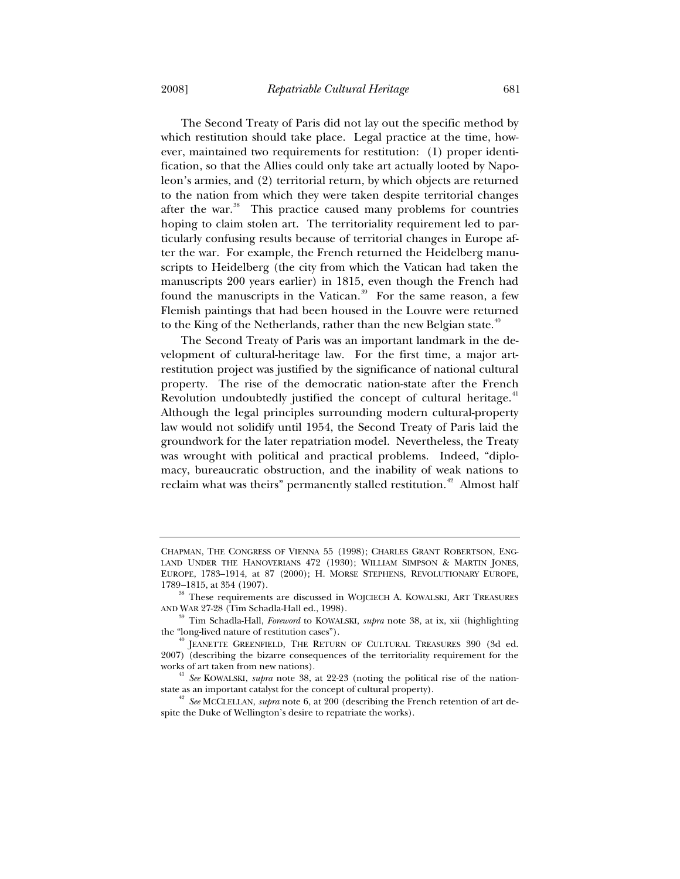The Second Treaty of Paris did not lay out the specific method by which restitution should take place. Legal practice at the time, however, maintained two requirements for restitution: (1) proper identification, so that the Allies could only take art actually looted by Napoleon's armies, and (2) territorial return, by which objects are returned to the nation from which they were taken despite territorial changes after the war.<sup>38</sup> This practice caused many problems for countries hoping to claim stolen art. The territoriality requirement led to particularly confusing results because of territorial changes in Europe after the war. For example, the French returned the Heidelberg manuscripts to Heidelberg (the city from which the Vatican had taken the manuscripts 200 years earlier) in 1815, even though the French had found the manuscripts in the Vatican.<sup>39</sup> For the same reason, a few Flemish paintings that had been housed in the Louvre were returned to the King of the Netherlands, rather than the new Belgian state.<sup>40</sup>

The Second Treaty of Paris was an important landmark in the development of cultural-heritage law. For the first time, a major artrestitution project was justified by the significance of national cultural property. The rise of the democratic nation-state after the French Revolution undoubtedly justified the concept of cultural heritage.<sup>4</sup> Although the legal principles surrounding modern cultural-property law would not solidify until 1954, the Second Treaty of Paris laid the groundwork for the later repatriation model. Nevertheless, the Treaty was wrought with political and practical problems. Indeed, "diplomacy, bureaucratic obstruction, and the inability of weak nations to reclaim what was theirs" permanently stalled restitution.<sup>42</sup> Almost half

CHAPMAN, THE CONGRESS OF VIENNA 55 (1998); CHARLES GRANT ROBERTSON, ENG-LAND UNDER THE HANOVERIANS 472 (1930); WILLIAM SIMPSON & MARTIN JONES, EUROPE, 1783–1914, at 87 (2000); H. MORSE STEPHENS, REVOLUTIONARY EUROPE, 1789–1815, at 354 (1907). 38 These requirements are discussed in WOJCIECH A. KOWALSKI, ART TREASURES

AND WAR 27-28 (Tim Schadla-Hall ed., 1998). 39 Tim Schadla-Hall, *Foreword* to KOWALSKI, *supra* note 38, at ix, xii (highlighting the "long-lived nature of restitution cases").<br><sup>40</sup> JEANETTE GREENFIELD, THE RETURN OF CULTURAL TREASURES 390 (3d ed.

<sup>2007) (</sup>describing the bizarre consequences of the territoriality requirement for the

works of art taken from new nations). 41 *See* KOWALSKI, *supra* note 38, at 22-23 (noting the political rise of the nationstate as an important catalyst for the concept of cultural property). 42 *See* MCCLELLAN, *supra* note 6, at 200 (describing the French retention of art de-

spite the Duke of Wellington's desire to repatriate the works).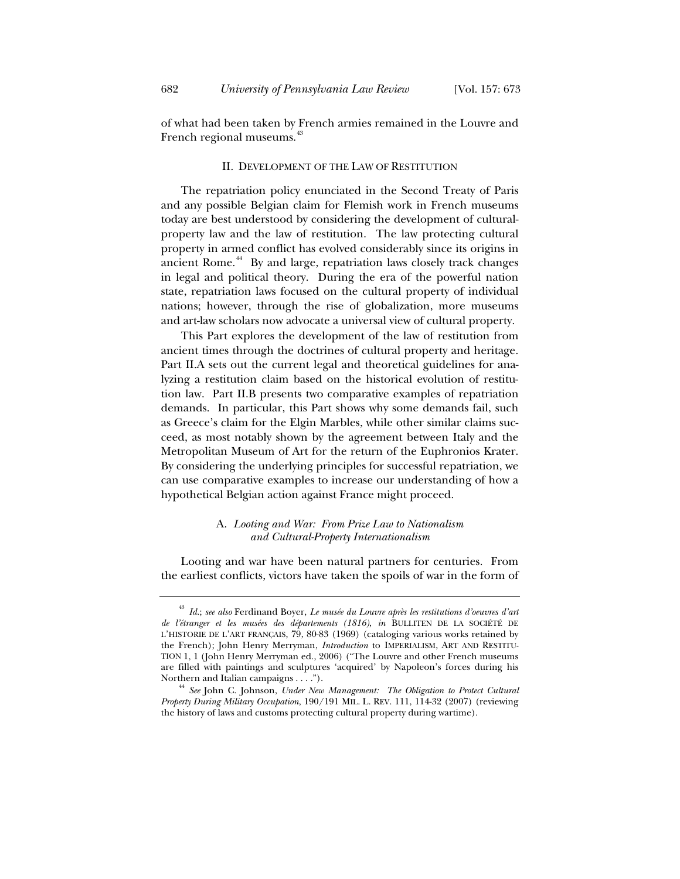of what had been taken by French armies remained in the Louvre and French regional museums.<sup>43</sup>

#### II. DEVELOPMENT OF THE LAW OF RESTITUTION

The repatriation policy enunciated in the Second Treaty of Paris and any possible Belgian claim for Flemish work in French museums today are best understood by considering the development of culturalproperty law and the law of restitution. The law protecting cultural property in armed conflict has evolved considerably since its origins in ancient Rome.<sup>44</sup> By and large, repatriation laws closely track changes in legal and political theory. During the era of the powerful nation state, repatriation laws focused on the cultural property of individual nations; however, through the rise of globalization, more museums and art-law scholars now advocate a universal view of cultural property.

This Part explores the development of the law of restitution from ancient times through the doctrines of cultural property and heritage. Part II.A sets out the current legal and theoretical guidelines for analyzing a restitution claim based on the historical evolution of restitution law. Part II.B presents two comparative examples of repatriation demands. In particular, this Part shows why some demands fail, such as Greece's claim for the Elgin Marbles, while other similar claims succeed, as most notably shown by the agreement between Italy and the Metropolitan Museum of Art for the return of the Euphronios Krater. By considering the underlying principles for successful repatriation, we can use comparative examples to increase our understanding of how a hypothetical Belgian action against France might proceed.

# A. *Looting and War: From Prize Law to Nationalism and Cultural-Property Internationalism*

Looting and war have been natural partners for centuries. From the earliest conflicts, victors have taken the spoils of war in the form of

<sup>43</sup> *Id.*; *see also* Ferdinand Boyer, *Le musée du Louvre après les restitutions d'oeuvres d'art de l'étranger et les musées des départements (1816)*, *in* BULLITEN DE LA SOCIÉTÉ DE L'HISTORIE DE L'ART FRANÇAIS, 79, 80-83 (1969) (cataloging various works retained by the French); John Henry Merryman, *Introduction* to IMPERIALISM, ART AND RESTITU-TION 1, 1 (John Henry Merryman ed., 2006) ("The Louvre and other French museums are filled with paintings and sculptures 'acquired' by Napoleon's forces during his Northern and Italian campaigns  $\dots$ .").

<sup>&</sup>lt;sup>44</sup> See John C. Johnson, *Under New Management: The Obligation to Protect Cultural Property During Military Occupation*, 190/191 MIL. L. REV. 111, 114-32 (2007) (reviewing the history of laws and customs protecting cultural property during wartime).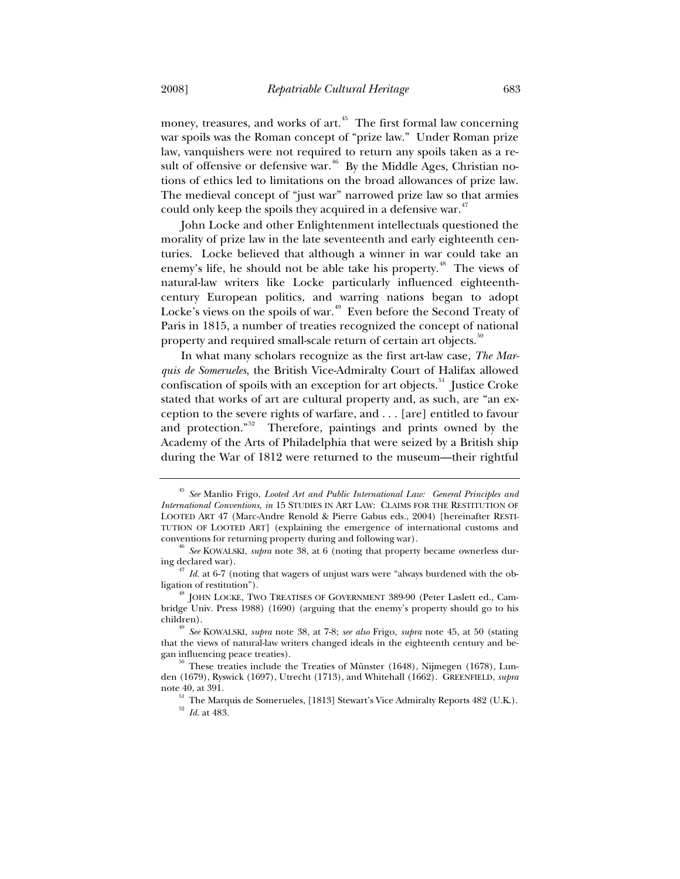money, treasures, and works of art.<sup>45</sup> The first formal law concerning war spoils was the Roman concept of "prize law." Under Roman prize law, vanquishers were not required to return any spoils taken as a result of offensive or defensive war.<sup>46</sup> By the Middle Ages, Christian notions of ethics led to limitations on the broad allowances of prize law. The medieval concept of "just war" narrowed prize law so that armies could only keep the spoils they acquired in a defensive war. $47$ 

John Locke and other Enlightenment intellectuals questioned the morality of prize law in the late seventeenth and early eighteenth centuries. Locke believed that although a winner in war could take an enemy's life, he should not be able take his property.<sup>48</sup> The views of natural-law writers like Locke particularly influenced eighteenthcentury European politics, and warring nations began to adopt Locke's views on the spoils of war.<sup>49</sup> Even before the Second Treaty of Paris in 1815, a number of treaties recognized the concept of national property and required small-scale return of certain art objects.<sup>50</sup>

In what many scholars recognize as the first art-law case, *The Marquis de Somerueles*, the British Vice-Admiralty Court of Halifax allowed confiscation of spoils with an exception for art objects.<sup>51</sup> Justice Croke stated that works of art are cultural property and, as such, are "an exception to the severe rights of warfare, and . . . [are] entitled to favour and protection."<sup>52</sup> Therefore, paintings and prints owned by the Academy of the Arts of Philadelphia that were seized by a British ship during the War of 1812 were returned to the museum—their rightful

<sup>45</sup> *See* Manlio Frigo, *Looted Art and Public International Law: General Principles and International Conventions*, *in* 15 STUDIES IN ART LAW: CLAIMS FOR THE RESTITUTION OF LOOTED ART 47 (Marc-Andre Renold & Pierre Gabus eds., 2004) [hereinafter RESTI-TUTION OF LOOTED ART] (explaining the emergence of international customs and conventions for returning property during and following war). 46 *See* KOWALSKI, *supra* note 38, at 6 (noting that property became ownerless dur-

ing declared war). 47 *Id.* at 6-7 (noting that wagers of unjust wars were "always burdened with the ob-

ligation of restitution").<br><sup>48</sup> JOHN LOCKE, TWO TREATISES OF GOVERNMENT 389-90 (Peter Laslett ed., Cam-

bridge Univ. Press 1988) (1690) (arguing that the enemy's property should go to his children). 49 *See* KOWALSKI, *supra* note 38, at 7-8; *see also* Frigo, *supra* note 45, at 50 (stating

that the views of natural-law writers changed ideals in the eighteenth century and be-

 $50$  These treaties include the Treaties of Münster (1648), Nijmegen (1678), Lunden (1679), Ryswick (1697), Utrecht (1713), and Whitehall (1662). GREENFIELD, *supra*

note 40, at 391. 51 The Marquis de Somerueles, [1813] Stewart's Vice Admiralty Reports 482 (U.K.).<br><sup>52</sup> *Id.* at 483.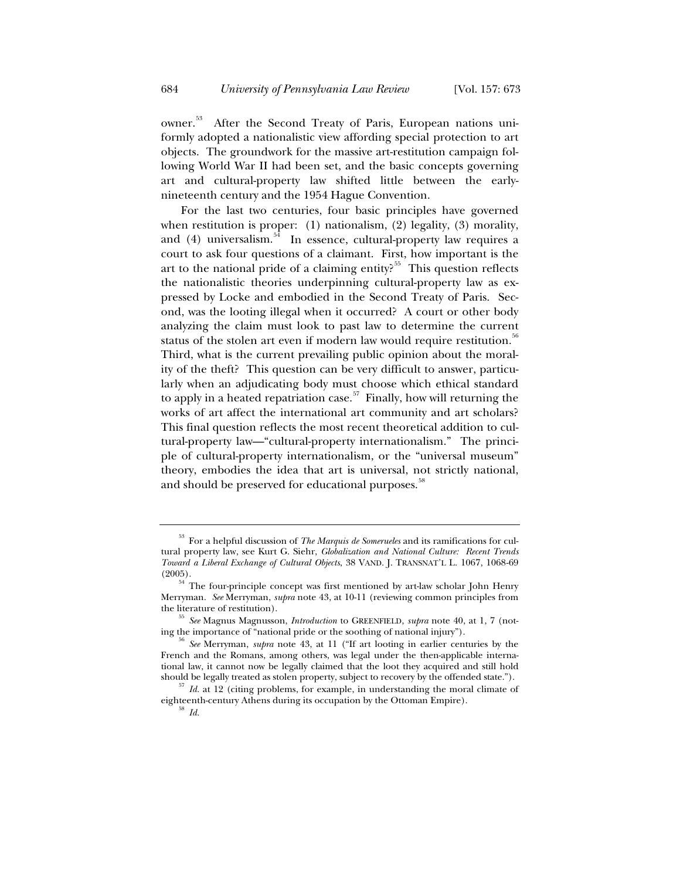owner.53 After the Second Treaty of Paris, European nations uniformly adopted a nationalistic view affording special protection to art objects. The groundwork for the massive art-restitution campaign following World War II had been set, and the basic concepts governing art and cultural-property law shifted little between the earlynineteenth century and the 1954 Hague Convention.

For the last two centuries, four basic principles have governed when restitution is proper: (1) nationalism, (2) legality, (3) morality, and (4) universalism.<sup>54</sup> In essence, cultural-property law requires a court to ask four questions of a claimant. First, how important is the art to the national pride of a claiming entity?<sup>55</sup> This question reflects the nationalistic theories underpinning cultural-property law as expressed by Locke and embodied in the Second Treaty of Paris. Second, was the looting illegal when it occurred? A court or other body analyzing the claim must look to past law to determine the current status of the stolen art even if modern law would require restitution.<sup>56</sup> Third, what is the current prevailing public opinion about the morality of the theft? This question can be very difficult to answer, particularly when an adjudicating body must choose which ethical standard to apply in a heated repatriation case.<sup>57</sup> Finally, how will returning the works of art affect the international art community and art scholars? This final question reflects the most recent theoretical addition to cultural-property law—"cultural-property internationalism." The principle of cultural-property internationalism, or the "universal museum" theory, embodies the idea that art is universal, not strictly national, and should be preserved for educational purposes.<sup>38</sup>

<sup>53</sup> For a helpful discussion of *The Marquis de Somerueles* and its ramifications for cultural property law, see Kurt G. Siehr, *Globalization and National Culture: Recent Trends Toward a Liberal Exchange of Cultural Objects*, 38 VAND. J. TRANSNAT'L L. 1067, 1068-69 (2005).

 $54$ <sup>54</sup> The four-principle concept was first mentioned by art-law scholar John Henry Merryman. *See* Merryman, *supra* note 43, at 10-11 (reviewing common principles from the literature of restitution). 55 *See* Magnus Magnusson, *Introduction* to GREENFIELD, *supra* note 40, at 1, 7 (not-

ing the importance of "national pride or the soothing of national injury"). 56 *See* Merryman, *supra* note 43, at 11 ("If art looting in earlier centuries by the French and the Romans, among others, was legal under the then-applicable international law, it cannot now be legally claimed that the loot they acquired and still hold should be legally treated as stolen property, subject to recovery by the offended state.").

 $57$  *Id.* at 12 (citing problems, for example, in understanding the moral climate of eighteenth-century Athens during its occupation by the Ottoman Empire). 58 *Id.*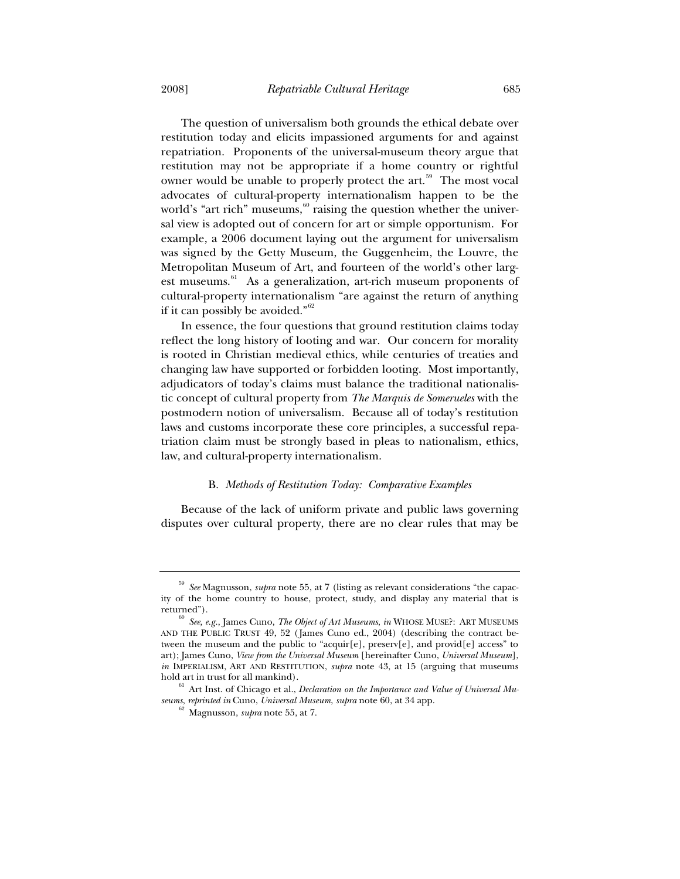The question of universalism both grounds the ethical debate over restitution today and elicits impassioned arguments for and against repatriation. Proponents of the universal-museum theory argue that restitution may not be appropriate if a home country or rightful owner would be unable to properly protect the art.<sup>59</sup> The most vocal advocates of cultural-property internationalism happen to be the world's "art rich" museums,  $60$  raising the question whether the universal view is adopted out of concern for art or simple opportunism. For example, a 2006 document laying out the argument for universalism was signed by the Getty Museum, the Guggenheim, the Louvre, the Metropolitan Museum of Art, and fourteen of the world's other largest museums. $61$  As a generalization, art-rich museum proponents of cultural-property internationalism "are against the return of anything if it can possibly be avoided."<sup>62</sup>

In essence, the four questions that ground restitution claims today reflect the long history of looting and war. Our concern for morality is rooted in Christian medieval ethics, while centuries of treaties and changing law have supported or forbidden looting. Most importantly, adjudicators of today's claims must balance the traditional nationalistic concept of cultural property from *The Marquis de Somerueles* with the postmodern notion of universalism. Because all of today's restitution laws and customs incorporate these core principles, a successful repatriation claim must be strongly based in pleas to nationalism, ethics, law, and cultural-property internationalism.

#### B. *Methods of Restitution Today: Comparative Examples*

Because of the lack of uniform private and public laws governing disputes over cultural property, there are no clear rules that may be

<sup>59</sup> *See* Magnusson, *supra* note 55, at 7 (listing as relevant considerations "the capacity of the home country to house, protect, study, and display any material that is returned").

<sup>60</sup> *See, e.g.*, James Cuno, *The Object of Art Museums*, *in* WHOSE MUSE?: ART MUSEUMS AND THE PUBLIC TRUST 49, 52 (James Cuno ed., 2004) (describing the contract between the museum and the public to "acquir[e], preserv[e], and provid[e] access" to art); James Cuno, *View from the Universal Museum* [hereinafter Cuno, *Universal Museum*], *in* IMPERIALISM, ART AND RESTITUTION, *supra* note 43, at 15 (arguing that museums hold art in trust for all mankind).

<sup>&</sup>lt;sup>61</sup> Art Inst. of Chicago et al., *Declaration on the Importance and Value of Universal Museums*, *reprinted in* Cuno, *Universal Museum*, *supra* note 60, at 34 app. 62 Magnusson, *supra* note 55, at 7.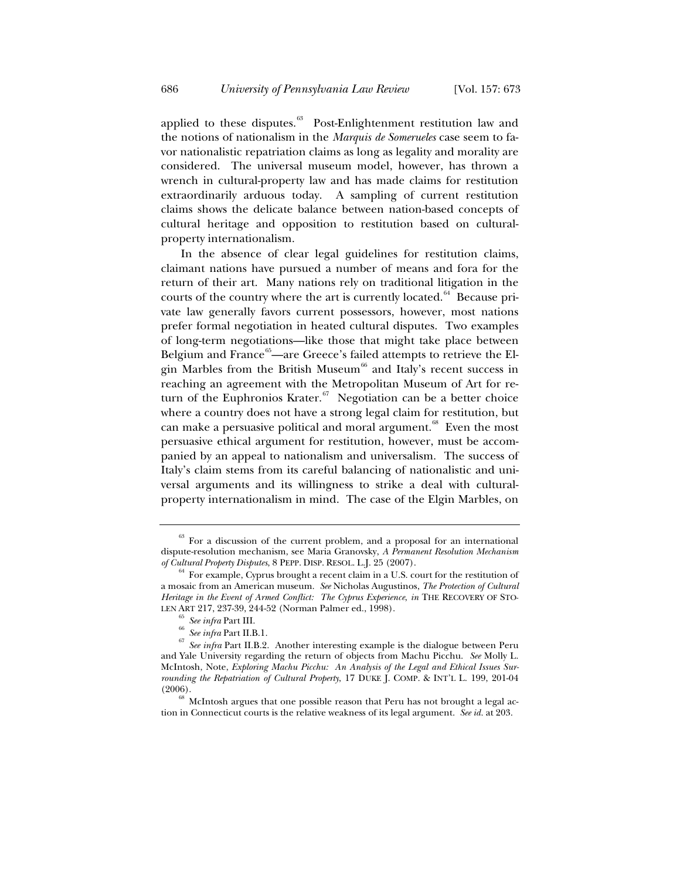applied to these disputes.<sup>63</sup> Post-Enlightenment restitution law and the notions of nationalism in the *Marquis de Somerueles* case seem to favor nationalistic repatriation claims as long as legality and morality are considered. The universal museum model, however, has thrown a wrench in cultural-property law and has made claims for restitution extraordinarily arduous today. A sampling of current restitution claims shows the delicate balance between nation-based concepts of cultural heritage and opposition to restitution based on culturalproperty internationalism.

In the absence of clear legal guidelines for restitution claims, claimant nations have pursued a number of means and fora for the return of their art. Many nations rely on traditional litigation in the courts of the country where the art is currently located. $64$  Because private law generally favors current possessors, however, most nations prefer formal negotiation in heated cultural disputes. Two examples of long-term negotiations—like those that might take place between Belgium and France<sup>65</sup>—are Greece's failed attempts to retrieve the Elgin Marbles from the British Museum<sup>66</sup> and Italy's recent success in reaching an agreement with the Metropolitan Museum of Art for return of the Euphronios Krater.<sup>67</sup> Negotiation can be a better choice where a country does not have a strong legal claim for restitution, but can make a persuasive political and moral argument. $68$  Even the most persuasive ethical argument for restitution, however, must be accompanied by an appeal to nationalism and universalism. The success of Italy's claim stems from its careful balancing of nationalistic and universal arguments and its willingness to strike a deal with culturalproperty internationalism in mind. The case of the Elgin Marbles, on

 $63$  For a discussion of the current problem, and a proposal for an international dispute-resolution mechanism, see Maria Granovsky, *A Permanent Resolution Mechanism* 

<sup>&</sup>lt;sup>64</sup> For example, Cyprus brought a recent claim in a U.S. court for the restitution of a mosaic from an American museum. *See* Nicholas Augustinos, *The Protection of Cultural Heritage in the Event of Armed Conflict: The Cyprus Experience*, *in* THE RECOVERY OF STO-

LEN ART 217, 237-39, 244-52 (Norman Palmer ed., 1998). 65 *See infra* Part III. 66 *See infra* Part II.B.1. 67 *See infra* Part II.B.2. Another interesting example is the dialogue between Peru and Yale University regarding the return of objects from Machu Picchu. *See* Molly L. McIntosh, Note, *Exploring Machu Picchu: An Analysis of the Legal and Ethical Issues Surrounding the Repatriation of Cultural Property*, 17 DUKE J. COMP.&INT'L L. 199, 201-04 (2006).

 $^{68}$  McIntosh argues that one possible reason that Peru has not brought a legal action in Connecticut courts is the relative weakness of its legal argument. *See id.* at 203.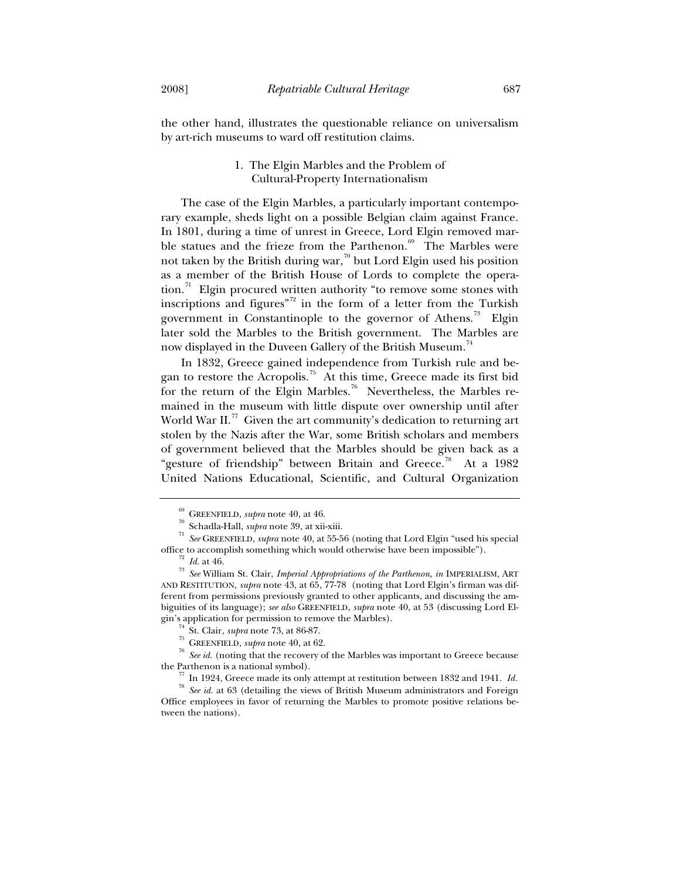the other hand, illustrates the questionable reliance on universalism by art-rich museums to ward off restitution claims.

# 1. The Elgin Marbles and the Problem of Cultural-Property Internationalism

The case of the Elgin Marbles, a particularly important contemporary example, sheds light on a possible Belgian claim against France. In 1801, during a time of unrest in Greece, Lord Elgin removed marble statues and the frieze from the Parthenon.<sup>69</sup> The Marbles were not taken by the British during war,<sup>70</sup> but Lord Elgin used his position as a member of the British House of Lords to complete the operation. $\frac{7}{1}$  Elgin procured written authority "to remove some stones with inscriptions and figures"72 in the form of a letter from the Turkish government in Constantinople to the governor of Athens.<sup>73</sup> Elgin later sold the Marbles to the British government. The Marbles are now displayed in the Duveen Gallery of the British Museum.<sup>74</sup>

In 1832, Greece gained independence from Turkish rule and began to restore the Acropolis.<sup>75</sup> At this time, Greece made its first bid for the return of the Elgin Marbles.<sup>76</sup> Nevertheless, the Marbles remained in the museum with little dispute over ownership until after World War II.<sup>77</sup> Given the art community's dedication to returning art stolen by the Nazis after the War, some British scholars and members of government believed that the Marbles should be given back as a "gesture of friendship" between Britain and Greece.<sup>78</sup> At a 1982 United Nations Educational, Scientific, and Cultural Organization

<sup>69</sup> GREENFIELD, *supra* note 40, at 46. 70 Schadla-Hall, *supra* note 39, at xii-xiii. 71 *See* GREENFIELD, *supra* note 40, at 55-56 (noting that Lord Elgin "used his special

office to accomplish something which would otherwise have been impossible").<br><sup>72</sup> *Id.* at 46.<br><sup>73</sup> *See* William St. Clair, *Imperial Appropriations of the Parthenon*, *in* IMPERIALISM, ART AND RESTITUTION, *supra* note 43, at 65, 77-78 (noting that Lord Elgin's firman was different from permissions previously granted to other applicants, and discussing the ambiguities of its language); *see also* GREENFIELD, *supra* note 40, at 53 (discussing Lord El-

gin's application for permission to remove the Marbles).<br>
<sup>74</sup> St. Clair, *supra* note 73, at 86-87.<br>
<sup>75</sup> GREENFIELD, *supra* note 40, at 62.<br>
<sup>76</sup> See id. (noting that the recovery of the Marbles was important to Greece the Parthenon is a national symbol). 77 In 1924, Greece made its only attempt at restitution between 1832 and 1941. *Id.*

<sup>78</sup> *See id.* at 63 (detailing the views of British Museum administrators and Foreign Office employees in favor of returning the Marbles to promote positive relations between the nations).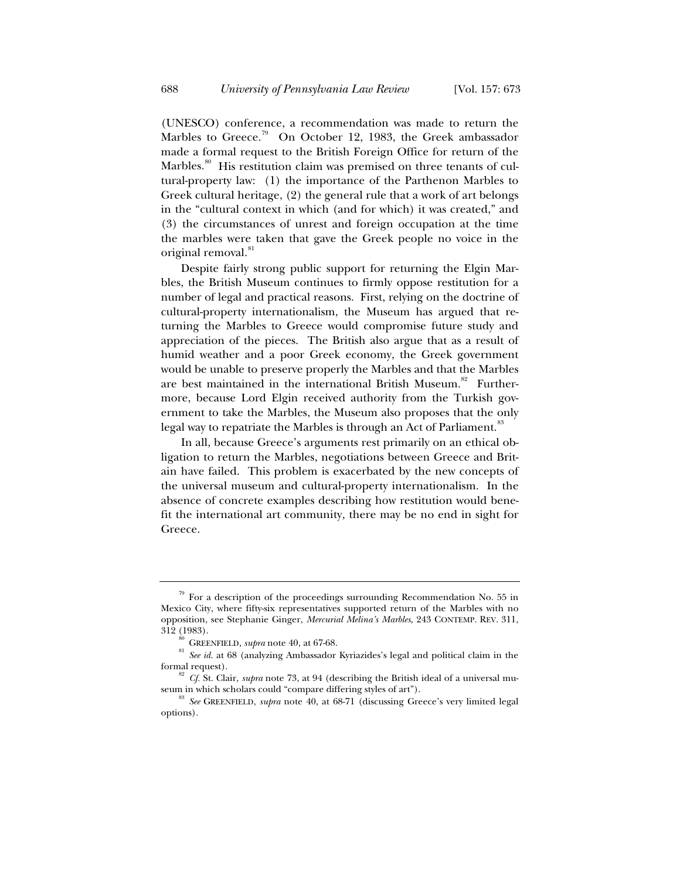(UNESCO) conference, a recommendation was made to return the Marbles to Greece.<sup>79</sup> On October 12, 1983, the Greek ambassador made a formal request to the British Foreign Office for return of the Marbles.<sup>80</sup> His restitution claim was premised on three tenants of cultural-property law: (1) the importance of the Parthenon Marbles to Greek cultural heritage, (2) the general rule that a work of art belongs in the "cultural context in which (and for which) it was created," and (3) the circumstances of unrest and foreign occupation at the time the marbles were taken that gave the Greek people no voice in the original removal.<sup>81</sup>

Despite fairly strong public support for returning the Elgin Marbles, the British Museum continues to firmly oppose restitution for a number of legal and practical reasons. First, relying on the doctrine of cultural-property internationalism, the Museum has argued that returning the Marbles to Greece would compromise future study and appreciation of the pieces. The British also argue that as a result of humid weather and a poor Greek economy, the Greek government would be unable to preserve properly the Marbles and that the Marbles are best maintained in the international British Museum.<sup>82</sup> Furthermore, because Lord Elgin received authority from the Turkish government to take the Marbles, the Museum also proposes that the only legal way to repatriate the Marbles is through an Act of Parliament.<sup>83</sup>

In all, because Greece's arguments rest primarily on an ethical obligation to return the Marbles, negotiations between Greece and Britain have failed. This problem is exacerbated by the new concepts of the universal museum and cultural-property internationalism. In the absence of concrete examples describing how restitution would benefit the international art community, there may be no end in sight for Greece.

 $79$  For a description of the proceedings surrounding Recommendation No. 55 in Mexico City, where fifty-six representatives supported return of the Marbles with no opposition, see Stephanie Ginger, *Mercurial Melina's Marbles*, 243 CONTEMP. REV. 311,

<sup>&</sup>lt;sup>312</sup> GREENFIELD, *supra* note 40, at 67-68. <sup>81</sup> *See id.* at 68 (analyzing Ambassador Kyriazides's legal and political claim in the formal request).

 $f^{\text{ss}}$  *Cf.* St. Clair, *supra* note 73, at 94 (describing the British ideal of a universal museum in which scholars could "compare differing styles of art").<br><sup>83</sup> *See* GREENFIELD, *supra* note 40, at 68-71 (discussing Greece's very limited legal

options).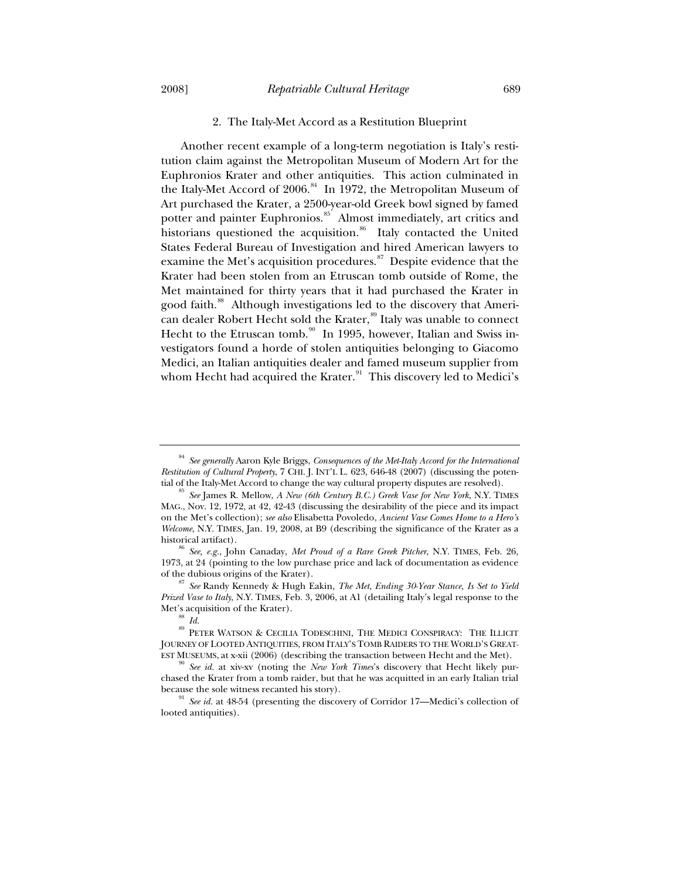# 2. The Italy-Met Accord as a Restitution Blueprint

Another recent example of a long-term negotiation is Italy's restitution claim against the Metropolitan Museum of Modern Art for the Euphronios Krater and other antiquities. This action culminated in the Italy-Met Accord of 2006.<sup>84</sup> In 1972, the Metropolitan Museum of Art purchased the Krater, a 2500-year-old Greek bowl signed by famed potter and painter Euphronios.<sup>85</sup> Almost immediately, art critics and historians questioned the acquisition.<sup>86</sup> Italy contacted the United States Federal Bureau of Investigation and hired American lawyers to examine the Met's acquisition procedures. $87$  Despite evidence that the Krater had been stolen from an Etruscan tomb outside of Rome, the Met maintained for thirty years that it had purchased the Krater in good faith.<sup>88</sup> Although investigations led to the discovery that American dealer Robert Hecht sold the Krater,<sup>89</sup> Italy was unable to connect Hecht to the Etruscan tomb.<sup>90</sup> In 1995, however, Italian and Swiss investigators found a horde of stolen antiquities belonging to Giacomo Medici, an Italian antiquities dealer and famed museum supplier from whom Hecht had acquired the Krater. $91$  This discovery led to Medici's

<sup>84</sup> *See generally* Aaron Kyle Briggs, *Consequences of the Met-Italy Accord for the International Restitution of Cultural Property*, 7 CHI. J. INT'L L. 623, 646-48 (2007) (discussing the potential of the Italy-Met Accord to change the way cultural property disputes are resolved). 85 *See* James R. Mellow, *A New (6th Century B.C.) Greek Vase for New York*, N.Y. TIMES

MAG., Nov. 12, 1972, at 42, 42-43 (discussing the desirability of the piece and its impact on the Met's collection); *see also* Elisabetta Povoledo, *Ancient Vase Comes Home to a Hero's Welcome*, N.Y. TIMES, Jan. 19, 2008, at B9 (describing the significance of the Krater as a historical artifact). 86 *See, e.g.*, John Canaday, *Met Proud of a Rare Greek Pitcher*, N.Y. TIMES, Feb. 26,

<sup>1973,</sup> at 24 (pointing to the low purchase price and lack of documentation as evidence

See Randy Kennedy & Hugh Eakin, *The Met, Ending 30-Year Stance, Is Set to Yield Prized Vase to Italy*, N.Y. TIMES, Feb. 3, 2006, at A1 (detailing Italy's legal response to the

Met's acquisition of the Krater). <sup>88</sup> *Id.* 89 PETER WATSON & CECILIA TODESCHINI, THE MEDICI CONSPIRACY: THE ILLICIT JOURNEY OF LOOTED ANTIQUITIES, FROM ITALY'S TOMB RAIDERS TO THE WORLD'S GREAT-

EST MUSEUMS, at x-xii (2006) (describing the transaction between Hecht and the Met). 90 *See id.* at xiv-xv (noting the *New York Times*'s discovery that Hecht likely purchased the Krater from a tomb raider, but that he was acquitted in an early Italian trial

because the sole witness recanted his story).<br><sup>91</sup> *See id.* at 48-54 (presenting the discovery of Corridor 17—Medici's collection of looted antiquities).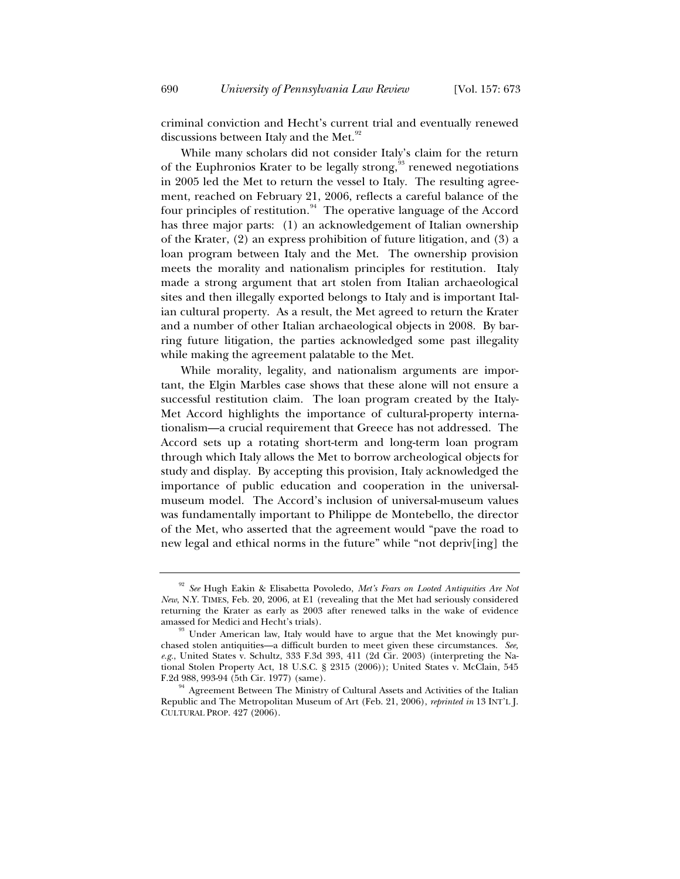criminal conviction and Hecht's current trial and eventually renewed discussions between Italy and the Met.<sup>92</sup>

While many scholars did not consider Italy's claim for the return of the Euphronios Krater to be legally strong,<sup>93</sup> renewed negotiations in 2005 led the Met to return the vessel to Italy. The resulting agreement, reached on February 21, 2006, reflects a careful balance of the four principles of restitution.<sup>94</sup> The operative language of the Accord has three major parts: (1) an acknowledgement of Italian ownership of the Krater, (2) an express prohibition of future litigation, and (3) a loan program between Italy and the Met. The ownership provision meets the morality and nationalism principles for restitution. Italy made a strong argument that art stolen from Italian archaeological sites and then illegally exported belongs to Italy and is important Italian cultural property. As a result, the Met agreed to return the Krater and a number of other Italian archaeological objects in 2008. By barring future litigation, the parties acknowledged some past illegality while making the agreement palatable to the Met.

While morality, legality, and nationalism arguments are important, the Elgin Marbles case shows that these alone will not ensure a successful restitution claim. The loan program created by the Italy-Met Accord highlights the importance of cultural-property internationalism—a crucial requirement that Greece has not addressed. The Accord sets up a rotating short-term and long-term loan program through which Italy allows the Met to borrow archeological objects for study and display. By accepting this provision, Italy acknowledged the importance of public education and cooperation in the universalmuseum model. The Accord's inclusion of universal-museum values was fundamentally important to Philippe de Montebello, the director of the Met, who asserted that the agreement would "pave the road to new legal and ethical norms in the future" while "not depriv[ing] the

<sup>92</sup> *See* Hugh Eakin & Elisabetta Povoledo, *Met's Fears on Looted Antiquities Are Not New*, N.Y. TIMES, Feb. 20, 2006, at E1 (revealing that the Met had seriously considered returning the Krater as early as 2003 after renewed talks in the wake of evidence amassed for Medici and Hecht's trials).<br><sup>93</sup> Under American law, Italy would have to argue that the Met knowingly pur-

chased stolen antiquities—a difficult burden to meet given these circumstances. *See, e.g.*, United States v. Schultz, 333 F.3d 393, 411 (2d Cir. 2003) (interpreting the National Stolen Property Act, 18 U.S.C. § 2315 (2006)); United States v. McClain, 545

F.2d 988, 993-94 (5th Cir. 1977) (same).<br><sup>94</sup> Agreement Between The Ministry of Cultural Assets and Activities of the Italian Republic and The Metropolitan Museum of Art (Feb. 21, 2006), *reprinted in* 13 INT'L J. CULTURAL PROP. 427 (2006).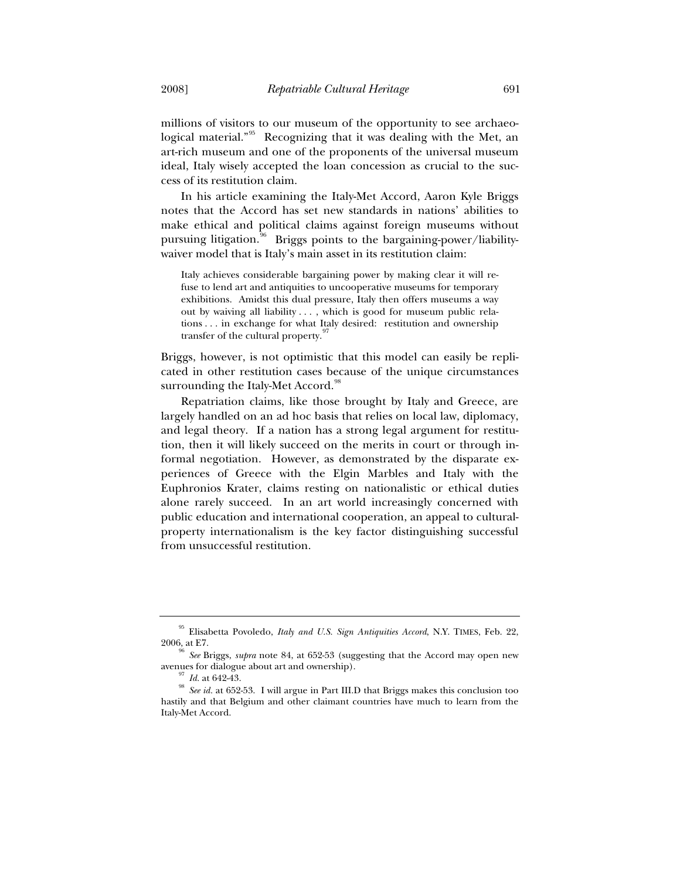millions of visitors to our museum of the opportunity to see archaeological material."<sup>95</sup> Recognizing that it was dealing with the Met, an art-rich museum and one of the proponents of the universal museum ideal, Italy wisely accepted the loan concession as crucial to the success of its restitution claim.

In his article examining the Italy-Met Accord, Aaron Kyle Briggs notes that the Accord has set new standards in nations' abilities to make ethical and political claims against foreign museums without pursuing litigation.<sup>96</sup> Briggs points to the bargaining-power/liabilitywaiver model that is Italy's main asset in its restitution claim:

Italy achieves considerable bargaining power by making clear it will refuse to lend art and antiquities to uncooperative museums for temporary exhibitions. Amidst this dual pressure, Italy then offers museums a way out by waiving all liability . . . , which is good for museum public relations . . . in exchange for what Italy desired: restitution and ownership transfer of the cultural property.<sup>9</sup>

Briggs, however, is not optimistic that this model can easily be replicated in other restitution cases because of the unique circumstances surrounding the Italy-Met Accord.<sup>98</sup>

Repatriation claims, like those brought by Italy and Greece, are largely handled on an ad hoc basis that relies on local law, diplomacy, and legal theory. If a nation has a strong legal argument for restitution, then it will likely succeed on the merits in court or through informal negotiation. However, as demonstrated by the disparate experiences of Greece with the Elgin Marbles and Italy with the Euphronios Krater, claims resting on nationalistic or ethical duties alone rarely succeed. In an art world increasingly concerned with public education and international cooperation, an appeal to culturalproperty internationalism is the key factor distinguishing successful from unsuccessful restitution.

<sup>95</sup> Elisabetta Povoledo, *Italy and U.S. Sign Antiquities Accord*, N.Y. TIMES, Feb. 22, 2006, at E7. 96 *See* Briggs, *supra* note 84, at 652-53 (suggesting that the Accord may open new

avenues for dialogue about art and ownership).<br><sup>97</sup> *Id.* at 642-43.<br><sup>98</sup> *See id.* at 652-53. I will argue in Part III.D that Briggs makes this conclusion too hastily and that Belgium and other claimant countries have much to learn from the Italy-Met Accord.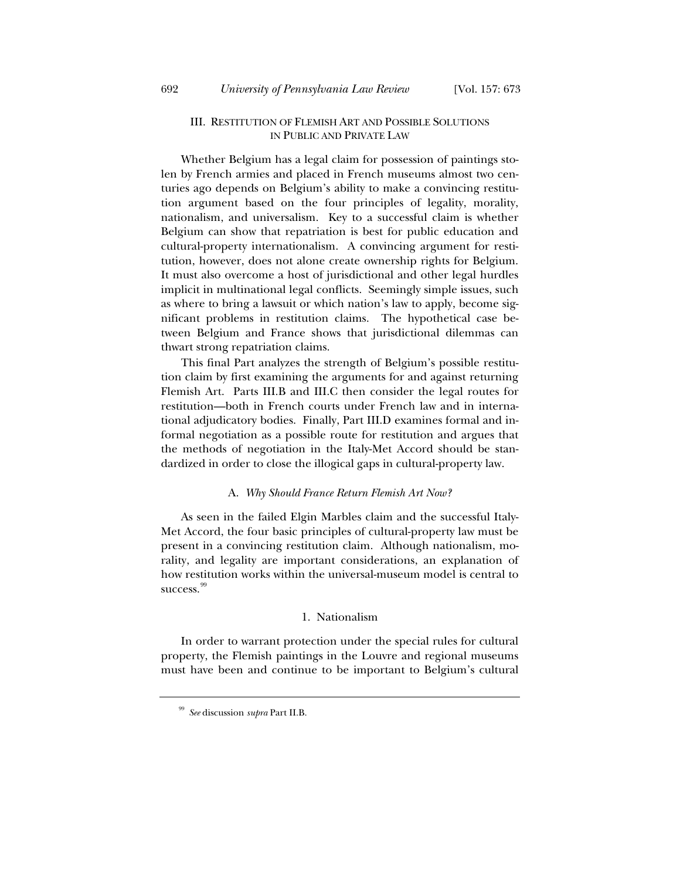# III. RESTITUTION OF FLEMISH ART AND POSSIBLE SOLUTIONS IN PUBLIC AND PRIVATE LAW

Whether Belgium has a legal claim for possession of paintings stolen by French armies and placed in French museums almost two centuries ago depends on Belgium's ability to make a convincing restitution argument based on the four principles of legality, morality, nationalism, and universalism. Key to a successful claim is whether Belgium can show that repatriation is best for public education and cultural-property internationalism. A convincing argument for restitution, however, does not alone create ownership rights for Belgium. It must also overcome a host of jurisdictional and other legal hurdles implicit in multinational legal conflicts. Seemingly simple issues, such as where to bring a lawsuit or which nation's law to apply, become significant problems in restitution claims. The hypothetical case between Belgium and France shows that jurisdictional dilemmas can thwart strong repatriation claims.

This final Part analyzes the strength of Belgium's possible restitution claim by first examining the arguments for and against returning Flemish Art. Parts III.B and III.C then consider the legal routes for restitution—both in French courts under French law and in international adjudicatory bodies. Finally, Part III.D examines formal and informal negotiation as a possible route for restitution and argues that the methods of negotiation in the Italy-Met Accord should be standardized in order to close the illogical gaps in cultural-property law.

# A. *Why Should France Return Flemish Art Now?*

As seen in the failed Elgin Marbles claim and the successful Italy-Met Accord, the four basic principles of cultural-property law must be present in a convincing restitution claim. Although nationalism, morality, and legality are important considerations, an explanation of how restitution works within the universal-museum model is central to success.<sup>99</sup>

# 1. Nationalism

In order to warrant protection under the special rules for cultural property, the Flemish paintings in the Louvre and regional museums must have been and continue to be important to Belgium's cultural

<sup>99</sup> *See* discussion *supra* Part II.B.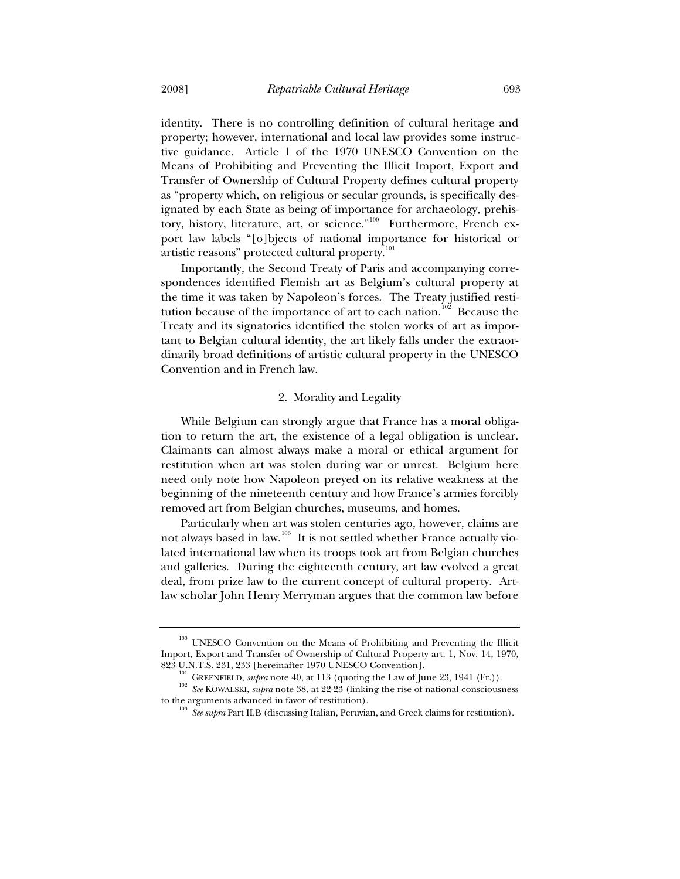identity. There is no controlling definition of cultural heritage and property; however, international and local law provides some instructive guidance. Article 1 of the 1970 UNESCO Convention on the Means of Prohibiting and Preventing the Illicit Import, Export and Transfer of Ownership of Cultural Property defines cultural property as "property which, on religious or secular grounds, is specifically designated by each State as being of importance for archaeology, prehistory, history, literature, art, or science."<sup>100</sup> Furthermore, French export law labels "[o]bjects of national importance for historical or artistic reasons" protected cultural property.<sup>101</sup>

Importantly, the Second Treaty of Paris and accompanying correspondences identified Flemish art as Belgium's cultural property at the time it was taken by Napoleon's forces. The Treaty justified restitution because of the importance of art to each nation.<sup>102</sup> Because the Treaty and its signatories identified the stolen works of art as important to Belgian cultural identity, the art likely falls under the extraordinarily broad definitions of artistic cultural property in the UNESCO Convention and in French law.

## 2. Morality and Legality

While Belgium can strongly argue that France has a moral obligation to return the art, the existence of a legal obligation is unclear. Claimants can almost always make a moral or ethical argument for restitution when art was stolen during war or unrest. Belgium here need only note how Napoleon preyed on its relative weakness at the beginning of the nineteenth century and how France's armies forcibly removed art from Belgian churches, museums, and homes.

Particularly when art was stolen centuries ago, however, claims are not always based in law.<sup>103</sup> It is not settled whether France actually violated international law when its troops took art from Belgian churches and galleries. During the eighteenth century, art law evolved a great deal, from prize law to the current concept of cultural property. Artlaw scholar John Henry Merryman argues that the common law before

<sup>&</sup>lt;sup>100</sup> UNESCO Convention on the Means of Prohibiting and Preventing the Illicit Import, Export and Transfer of Ownership of Cultural Property art. 1, Nov. 14, 1970,

<sup>823</sup> U.N.T.S. 231, 233 [hereinafter 1970 UNESCO Convention].<br><sup>101</sup> GREENFIELD, *supra* note 40, at 113 (quoting the Law of June 23, 1941 (Fr.)).<br><sup>102</sup> *See* KOWALSKI, *supra* note 38, at 22-23 (linking the rise of national

<sup>&</sup>lt;sup>03</sup> See supra Part II.B (discussing Italian, Peruvian, and Greek claims for restitution).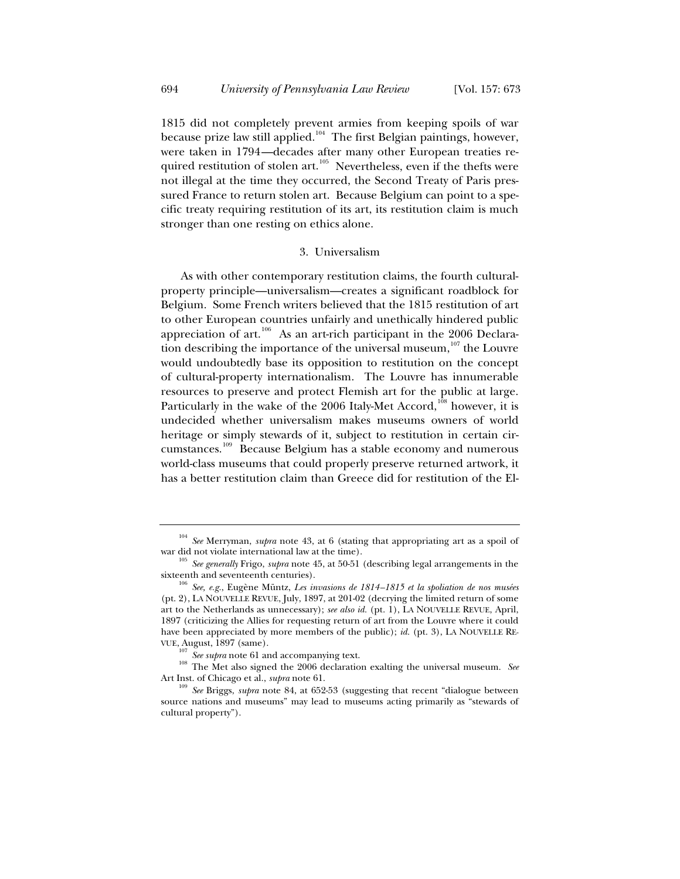1815 did not completely prevent armies from keeping spoils of war because prize law still applied.<sup>104</sup> The first Belgian paintings, however, were taken in 1794—decades after many other European treaties required restitution of stolen art.<sup>105</sup> Nevertheless, even if the thefts were not illegal at the time they occurred, the Second Treaty of Paris pressured France to return stolen art. Because Belgium can point to a specific treaty requiring restitution of its art, its restitution claim is much stronger than one resting on ethics alone.

## 3. Universalism

As with other contemporary restitution claims, the fourth culturalproperty principle—universalism—creates a significant roadblock for Belgium. Some French writers believed that the 1815 restitution of art to other European countries unfairly and unethically hindered public appreciation of art.<sup>106</sup> As an art-rich participant in the 2006 Declaration describing the importance of the universal museum, $107$  the Louvre would undoubtedly base its opposition to restitution on the concept of cultural-property internationalism. The Louvre has innumerable resources to preserve and protect Flemish art for the public at large. Particularly in the wake of the  $2006$  Italy-Met Accord,<sup>108</sup> however, it is undecided whether universalism makes museums owners of world heritage or simply stewards of it, subject to restitution in certain circumstances.109 Because Belgium has a stable economy and numerous world-class museums that could properly preserve returned artwork, it has a better restitution claim than Greece did for restitution of the El-

<sup>104</sup> *See* Merryman, *supra* note 43, at 6 (stating that appropriating art as a spoil of war did not violate international law at the time).<br><sup>105</sup> *See generally* Frigo, *supra* note 45, at 50-51 (describing legal arrangements in the

sixteenth and seventeenth centuries). 106 *See, e.g.*, Eugène Müntz, *Les invasions de 1814–1815 et la spoliation de nos musées*

<sup>(</sup>pt. 2), LA NOUVELLE REVUE, July, 1897, at 201-02 (decrying the limited return of some art to the Netherlands as unnecessary); *see also id.* (pt. 1), LA NOUVELLE REVUE, April, 1897 (criticizing the Allies for requesting return of art from the Louvre where it could have been appreciated by more members of the public); *id.* (pt. 3), LA NOUVELLE RE-VUE, August, 1897 (same).<br> $\frac{107}{107}$  See supra note 61 and accompanying text.

<sup>&</sup>lt;sup>108</sup> The Met also signed the 2006 declaration exalting the universal museum. *See* Art Inst. of Chicago et al., *supra* note 61.<br><sup>109</sup> *See* Briggs, *supra* note 84, at 652-53 (suggesting that recent "dialogue between

source nations and museums" may lead to museums acting primarily as "stewards of cultural property").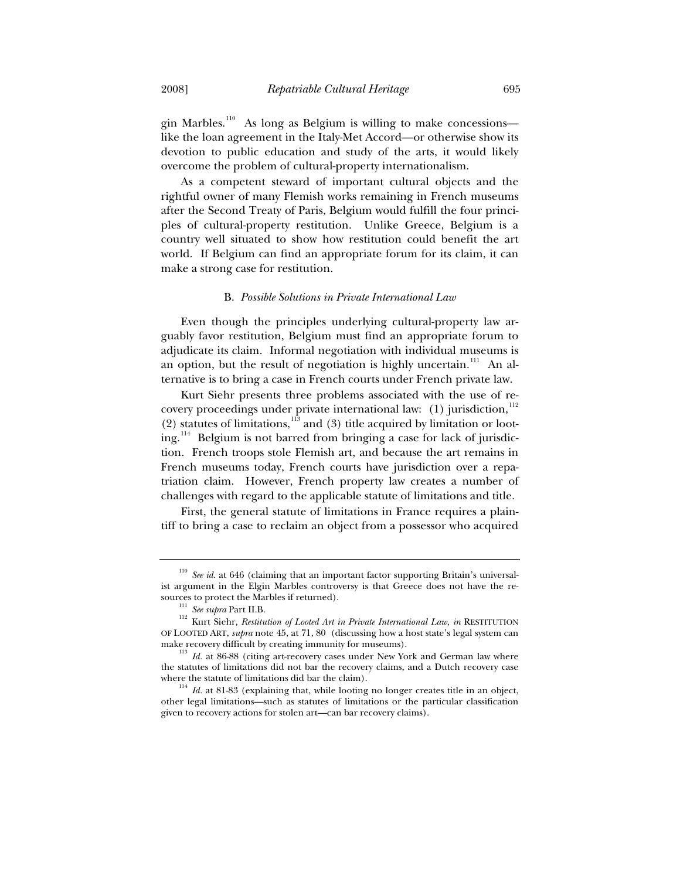gin Marbles.<sup>110</sup> As long as Belgium is willing to make concessions like the loan agreement in the Italy-Met Accord—or otherwise show its devotion to public education and study of the arts, it would likely overcome the problem of cultural-property internationalism.

As a competent steward of important cultural objects and the rightful owner of many Flemish works remaining in French museums after the Second Treaty of Paris, Belgium would fulfill the four principles of cultural-property restitution. Unlike Greece, Belgium is a country well situated to show how restitution could benefit the art world. If Belgium can find an appropriate forum for its claim, it can make a strong case for restitution.

#### B. *Possible Solutions in Private International Law*

Even though the principles underlying cultural-property law arguably favor restitution, Belgium must find an appropriate forum to adjudicate its claim. Informal negotiation with individual museums is an option, but the result of negotiation is highly uncertain.<sup>111</sup> An alternative is to bring a case in French courts under French private law.

Kurt Siehr presents three problems associated with the use of recovery proceedings under private international law:  $(1)$  jurisdiction,<sup>112</sup> (2) statutes of limitations, $113$  and (3) title acquired by limitation or looting.<sup>114</sup> Belgium is not barred from bringing a case for lack of jurisdiction. French troops stole Flemish art, and because the art remains in French museums today, French courts have jurisdiction over a repatriation claim. However, French property law creates a number of challenges with regard to the applicable statute of limitations and title.

First, the general statute of limitations in France requires a plaintiff to bring a case to reclaim an object from a possessor who acquired

<sup>110</sup> *See id.* at 646 (claiming that an important factor supporting Britain's universalist argument in the Elgin Marbles controversy is that Greece does not have the re-<br>sources to protect the Marbles if returned).

<sup>&</sup>lt;sup>111</sup> *See supra* Part II.B. 112 *See supra* Part II.B. 112 *Kurt Siehr, <i>Restitution of Looted Art in Private International Law*, *in RESTITUTION* OF LOOTED ART, *supra* note 45, at 71, 80 (discussing how a host state's legal system can

make recovery difficult by creating immunity for museums). <sup>113</sup> *Id.* at 86-88 (citing art-recovery cases under New York and German law where the statutes of limitations did not bar the recovery claims, and a Dutch recovery case where the statute of limitations did bar the claim).<br><sup>114</sup> *Id.* at 81-83 (explaining that, while looting no longer creates title in an object,

other legal limitations—such as statutes of limitations or the particular classification given to recovery actions for stolen art—can bar recovery claims).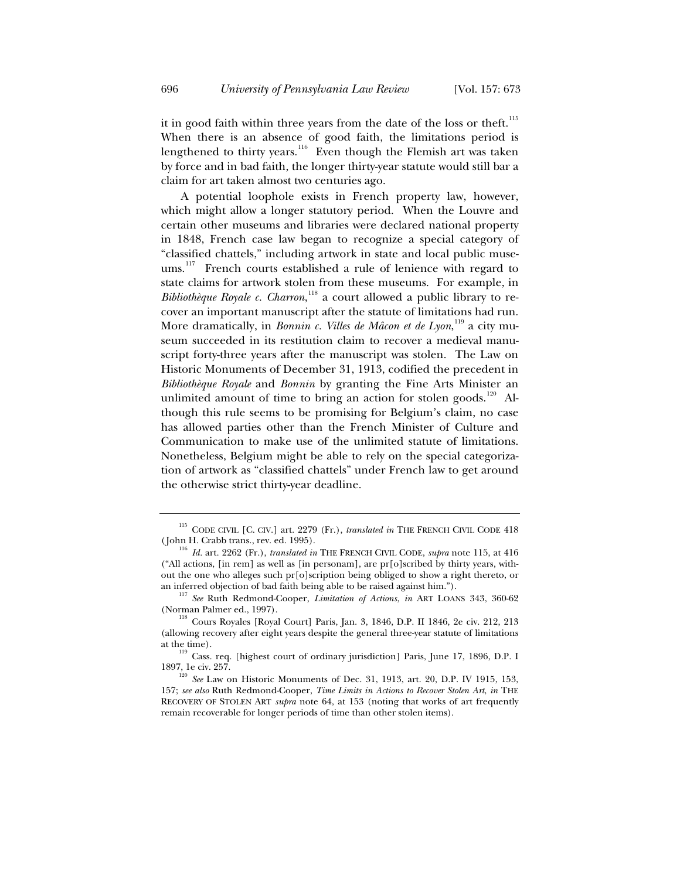it in good faith within three years from the date of the loss or theft.<sup>115</sup> When there is an absence of good faith, the limitations period is lengthened to thirty years.<sup>116</sup> Even though the Flemish art was taken by force and in bad faith, the longer thirty-year statute would still bar a claim for art taken almost two centuries ago.

A potential loophole exists in French property law, however, which might allow a longer statutory period. When the Louvre and certain other museums and libraries were declared national property in 1848, French case law began to recognize a special category of "classified chattels," including artwork in state and local public museums.<sup>117</sup> French courts established a rule of lenience with regard to state claims for artwork stolen from these museums. For example, in *Bibliothèque Royale c. Charron*, 118 a court allowed a public library to recover an important manuscript after the statute of limitations had run. More dramatically, in *Bonnin c. Villes de Mâcon et de Lyon*, 119 a city museum succeeded in its restitution claim to recover a medieval manuscript forty-three years after the manuscript was stolen. The Law on Historic Monuments of December 31, 1913, codified the precedent in *Bibliothèque Royale* and *Bonnin* by granting the Fine Arts Minister an unlimited amount of time to bring an action for stolen goods.<sup>120</sup> Although this rule seems to be promising for Belgium's claim, no case has allowed parties other than the French Minister of Culture and Communication to make use of the unlimited statute of limitations. Nonetheless, Belgium might be able to rely on the special categorization of artwork as "classified chattels" under French law to get around the otherwise strict thirty-year deadline.

<sup>&</sup>lt;sup>115</sup> CODE CIVIL [C. CIV.] art. 2279 (Fr.), *translated in* THE FRENCH CIVIL CODE 418 (John H. Crabb trans., rev. ed. 1995).

<sup>&</sup>lt;sup>16</sup> Id. art. 2262 (Fr.), *translated in* THE FRENCH CIVIL CODE, *supra* note 115, at 416 ("All actions, [in rem] as well as [in personam], are pr[o]scribed by thirty years, without the one who alleges such pr[o]scription being obliged to show a right thereto, or

an inferred objection of bad faith being able to be raised against him.").<br><sup>117</sup> *See* Ruth Redmond-Cooper, *Limitation of Actions*, *in* ART LOANS 343, 360-62<br>(Norman Palmer ed., 1997).

 $118$  Cours Royales [Royal Court] Paris, Jan. 3, 1846, D.P. II 1846, 2e civ. 212, 213 (allowing recovery after eight years despite the general three-year statute of limitations

at the time).<br><sup>119</sup> Cass. req. [highest court of ordinary jurisdiction] Paris, June 17, 1896, D.P. I<br>1897. le civ. 257.

<sup>&</sup>lt;sup>120</sup> *See* Law on Historic Monuments of Dec. 31, 1913, art. 20, D.P. IV 1915, 153, 157; *see also* Ruth Redmond-Cooper, *Time Limits in Actions to Recover Stolen Art*, *in* THE RECOVERY OF STOLEN ART *supra* note 64, at 153 (noting that works of art frequently remain recoverable for longer periods of time than other stolen items).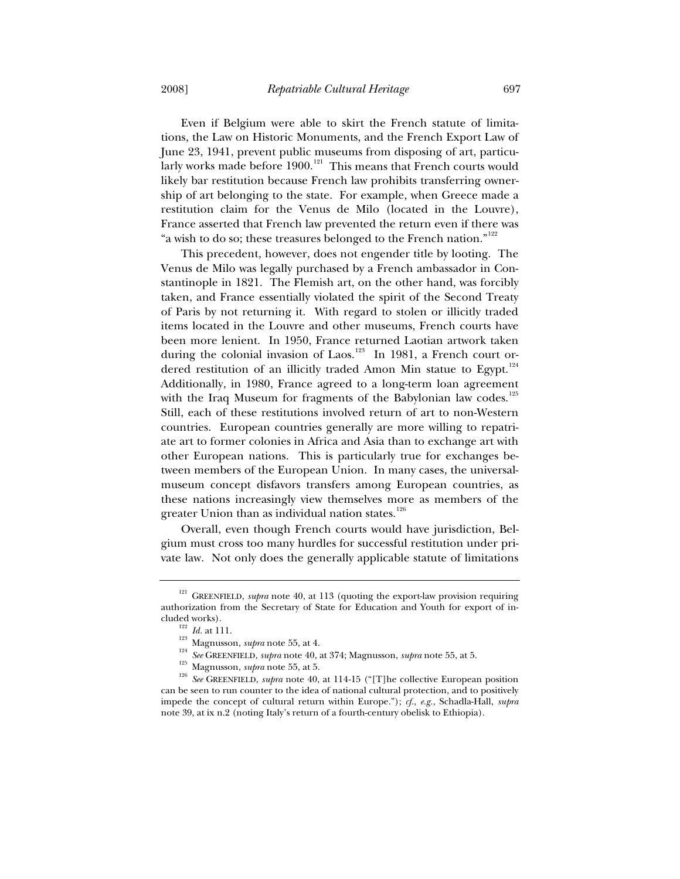Even if Belgium were able to skirt the French statute of limitations, the Law on Historic Monuments, and the French Export Law of June 23, 1941, prevent public museums from disposing of art, particularly works made before 1900.<sup>121</sup> This means that French courts would likely bar restitution because French law prohibits transferring ownership of art belonging to the state. For example, when Greece made a restitution claim for the Venus de Milo (located in the Louvre), France asserted that French law prevented the return even if there was "a wish to do so; these treasures belonged to the French nation." $122$ 

This precedent, however, does not engender title by looting. The Venus de Milo was legally purchased by a French ambassador in Constantinople in 1821. The Flemish art, on the other hand, was forcibly taken, and France essentially violated the spirit of the Second Treaty of Paris by not returning it. With regard to stolen or illicitly traded items located in the Louvre and other museums, French courts have been more lenient. In 1950, France returned Laotian artwork taken during the colonial invasion of Laos.<sup>123</sup> In 1981, a French court ordered restitution of an illicitly traded Amon Min statue to Egypt.<sup>124</sup> Additionally, in 1980, France agreed to a long-term loan agreement with the Iraq Museum for fragments of the Babylonian law codes.<sup>125</sup> Still, each of these restitutions involved return of art to non-Western countries. European countries generally are more willing to repatriate art to former colonies in Africa and Asia than to exchange art with other European nations. This is particularly true for exchanges between members of the European Union. In many cases, the universalmuseum concept disfavors transfers among European countries, as these nations increasingly view themselves more as members of the greater Union than as individual nation states. $^{126}$ 

Overall, even though French courts would have jurisdiction, Belgium must cross too many hurdles for successful restitution under private law. Not only does the generally applicable statute of limitations

<sup>&</sup>lt;sup>121</sup> GREENFIELD, *supra* note 40, at 113 (quoting the export-law provision requiring authorization from the Secretary of State for Education and Youth for export of in-

cluded works).<br>
<sup>122</sup> *Id.* at 111.<br>
<sup>123</sup> Magnusson, *supra* note 55, at 4.<br>
<sup>124</sup> See GREENFIELD, *supra* note 40, at 374; Magnusson, *supra* note 55, at 5.<br>
<sup>125</sup> Magnusson, *supra* note 55, at 5.<br>
<sup>126</sup> See GREENFIELD can be seen to run counter to the idea of national cultural protection, and to positively impede the concept of cultural return within Europe."); *cf.*, *e.g.*, Schadla-Hall, *supra* note 39, at ix n.2 (noting Italy's return of a fourth-century obelisk to Ethiopia).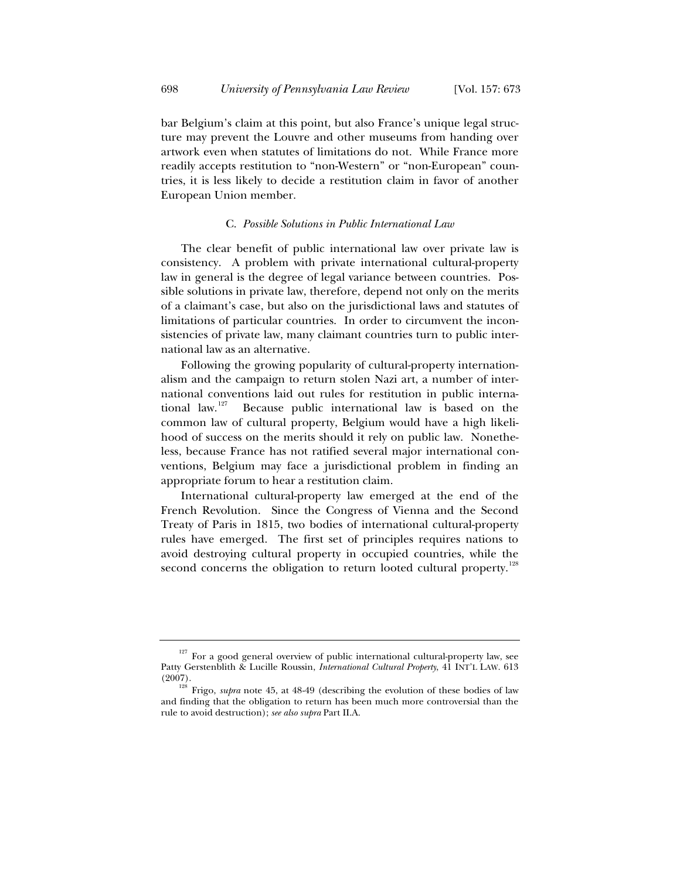bar Belgium's claim at this point, but also France's unique legal structure may prevent the Louvre and other museums from handing over artwork even when statutes of limitations do not. While France more readily accepts restitution to "non-Western" or "non-European" countries, it is less likely to decide a restitution claim in favor of another European Union member.

## C. *Possible Solutions in Public International Law*

The clear benefit of public international law over private law is consistency. A problem with private international cultural-property law in general is the degree of legal variance between countries. Possible solutions in private law, therefore, depend not only on the merits of a claimant's case, but also on the jurisdictional laws and statutes of limitations of particular countries. In order to circumvent the inconsistencies of private law, many claimant countries turn to public international law as an alternative.

Following the growing popularity of cultural-property internationalism and the campaign to return stolen Nazi art, a number of international conventions laid out rules for restitution in public interna-<br>tional law.<sup>127</sup> Because public international law is based on the Because public international law is based on the common law of cultural property, Belgium would have a high likelihood of success on the merits should it rely on public law. Nonetheless, because France has not ratified several major international conventions, Belgium may face a jurisdictional problem in finding an appropriate forum to hear a restitution claim.

International cultural-property law emerged at the end of the French Revolution. Since the Congress of Vienna and the Second Treaty of Paris in 1815, two bodies of international cultural-property rules have emerged. The first set of principles requires nations to avoid destroying cultural property in occupied countries, while the second concerns the obligation to return looted cultural property.<sup>12</sup>

 $127$  For a good general overview of public international cultural-property law, see Patty Gerstenblith & Lucille Roussin, *International Cultural Property*, 41 INT'L LAW. 613 (2007).

<sup>&</sup>lt;sup>128</sup> Frigo, *supra* note 45, at 48-49 (describing the evolution of these bodies of law and finding that the obligation to return has been much more controversial than the rule to avoid destruction); *see also supra* Part II.A.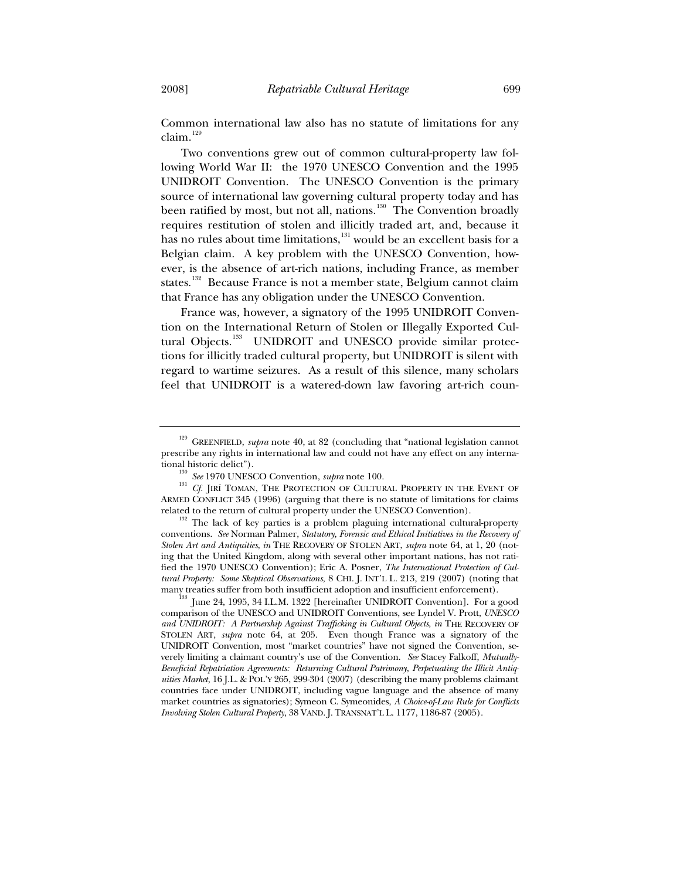Common international law also has no statute of limitations for any claim.<sup>129</sup>

Two conventions grew out of common cultural-property law following World War II: the 1970 UNESCO Convention and the 1995 UNIDROIT Convention. The UNESCO Convention is the primary source of international law governing cultural property today and has been ratified by most, but not all, nations.<sup>130</sup> The Convention broadly requires restitution of stolen and illicitly traded art, and, because it has no rules about time limitations,<sup>131</sup> would be an excellent basis for a Belgian claim. A key problem with the UNESCO Convention, however, is the absence of art-rich nations, including France, as member states.<sup>132</sup> Because France is not a member state, Belgium cannot claim that France has any obligation under the UNESCO Convention.

France was, however, a signatory of the 1995 UNIDROIT Convention on the International Return of Stolen or Illegally Exported Cultural Objects.<sup>133</sup> UNIDROIT and UNESCO provide similar protections for illicitly traded cultural property, but UNIDROIT is silent with regard to wartime seizures. As a result of this silence, many scholars feel that UNIDROIT is a watered-down law favoring art-rich coun-

<sup>&</sup>lt;sup>129</sup> GREENFIELD, *supra* note 40, at 82 (concluding that "national legislation cannot prescribe any rights in international law and could not have any effect on any interna-

<sup>&</sup>lt;sup>130</sup> *See* 1970 UNESCO Convention, *supra* note 100.  $C_f$  JIRÍ TOMAN, THE PROTECTION OF CULTURAL PROPERTY IN THE EVENT OF ARMED CONFLICT 345 (1996) (arguing that there is no statute of limitations for claims<br>related to the return of cultural property under the UNESCO Convention).

 $132$  The lack of key parties is a problem plaguing international cultural-property conventions. *See* Norman Palmer, *Statutory, Forensic and Ethical Initiatives in the Recovery of Stolen Art and Antiquities*, *in* THE RECOVERY OF STOLEN ART, *supra* note 64, at 1, 20 (noting that the United Kingdom, along with several other important nations, has not ratified the 1970 UNESCO Convention); Eric A. Posner, *The International Protection of Cultural Property: Some Skeptical Observations*, 8 CHI. J. INT'L L. 213, 219 (2007) (noting that many treaties suffer from both insufficient adoption and insufficient enforcement). 133 June 24, 1995, 34 I.L.M. 1322 [hereinafter UNIDROIT Convention]. For a good

comparison of the UNESCO and UNIDROIT Conventions, see Lyndel V. Prott, *UNESCO and UNIDROIT: A Partnership Against Trafficking in Cultural Objects*, *in* THE RECOVERY OF STOLEN ART, *supra* note 64, at 205. Even though France was a signatory of the UNIDROIT Convention, most "market countries" have not signed the Convention, severely limiting a claimant country's use of the Convention. *See* Stacey Falkoff, *Mutually-Beneficial Repatriation Agreements: Returning Cultural Patrimony, Perpetuating the Illicit Antiquities Market*, 16 J.L. & POL'Y 265, 299-304 (2007) (describing the many problems claimant countries face under UNIDROIT, including vague language and the absence of many market countries as signatories); Symeon C. Symeonides, *A Choice-of-Law Rule for Conflicts Involving Stolen Cultural Property*, 38 VAND. J. TRANSNAT'L L. 1177, 1186-87 (2005).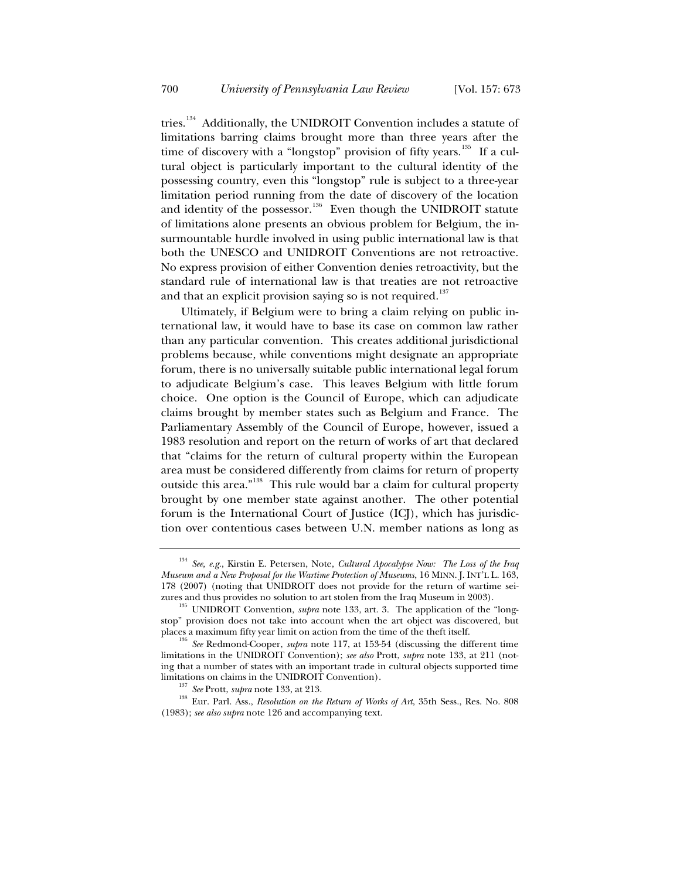tries.<sup>134</sup> Additionally, the UNIDROIT Convention includes a statute of limitations barring claims brought more than three years after the time of discovery with a "longstop" provision of fifty years.<sup>135</sup> If a cultural object is particularly important to the cultural identity of the possessing country, even this "longstop" rule is subject to a three-year limitation period running from the date of discovery of the location and identity of the possessor.<sup>136</sup> Even though the UNIDROIT statute of limitations alone presents an obvious problem for Belgium, the insurmountable hurdle involved in using public international law is that both the UNESCO and UNIDROIT Conventions are not retroactive. No express provision of either Convention denies retroactivity, but the standard rule of international law is that treaties are not retroactive and that an explicit provision saying so is not required.<sup>137</sup>

Ultimately, if Belgium were to bring a claim relying on public international law, it would have to base its case on common law rather than any particular convention. This creates additional jurisdictional problems because, while conventions might designate an appropriate forum, there is no universally suitable public international legal forum to adjudicate Belgium's case. This leaves Belgium with little forum choice. One option is the Council of Europe, which can adjudicate claims brought by member states such as Belgium and France. The Parliamentary Assembly of the Council of Europe, however, issued a 1983 resolution and report on the return of works of art that declared that "claims for the return of cultural property within the European area must be considered differently from claims for return of property outside this area."<sup>138</sup> This rule would bar a claim for cultural property brought by one member state against another. The other potential forum is the International Court of Justice (ICJ), which has jurisdiction over contentious cases between U.N. member nations as long as

<sup>134</sup> *See, e.g.*, Kirstin E. Petersen, Note, *Cultural Apocalypse Now: The Loss of the Iraq Museum and a New Proposal for the Wartime Protection of Museums*, 16 MINN. J. INT'L L. 163, 178 (2007) (noting that UNIDROIT does not provide for the return of wartime seizures and thus provides no solution to art stolen from the Iraq Museum in 2003).

<sup>&</sup>lt;sup>135</sup> UNIDROIT Convention, *supra* note 133, art. 3. The application of the "longstop" provision does not take into account when the art object was discovered, but

places a maximum fifty year limit on action from the time of the theft itself. 136 *See* Redmond-Cooper, *supra* note 117, at 153-54 (discussing the different time limitations in the UNIDROIT Convention); *see also* Prott, *supra* note 133, at 211 (noting that a number of states with an important trade in cultural objects supported time

<sup>&</sup>lt;sup>137</sup> *See* Prott, *supra* note 133, at 213. 138 *See Prott, 35th Sess., Res. No.* 808 Eur. Parl. Ass., *Resolution on the Return of Works of Art*, 35th Sess., Res. No. 808 (1983); *see also supra* note 126 and accompanying text.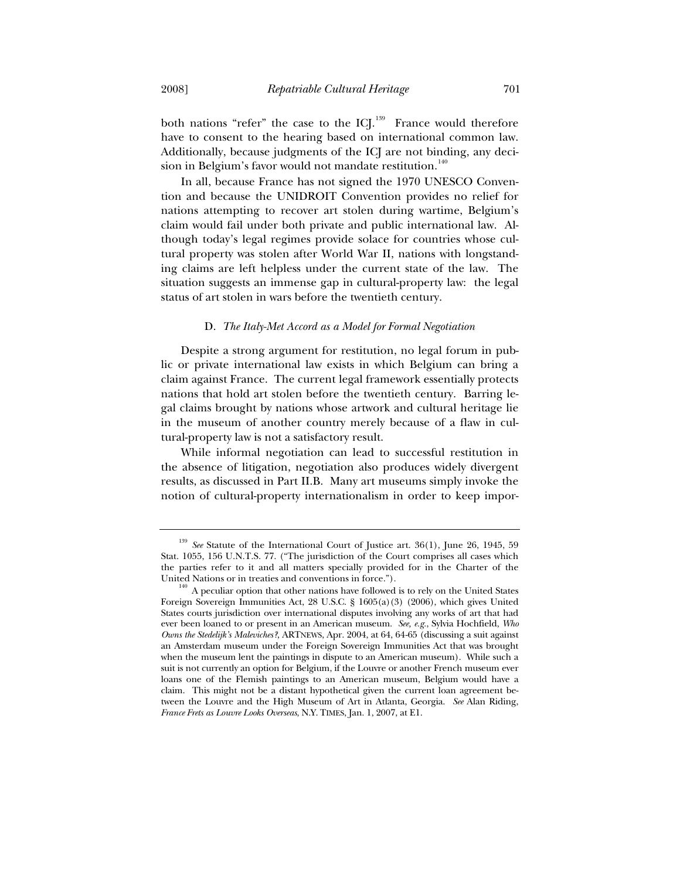both nations "refer" the case to the ICJ.<sup>139</sup> France would therefore have to consent to the hearing based on international common law. Additionally, because judgments of the ICJ are not binding, any decision in Belgium's favor would not mandate restitution. $140$ 

In all, because France has not signed the 1970 UNESCO Convention and because the UNIDROIT Convention provides no relief for nations attempting to recover art stolen during wartime, Belgium's claim would fail under both private and public international law. Although today's legal regimes provide solace for countries whose cultural property was stolen after World War II, nations with longstanding claims are left helpless under the current state of the law. The situation suggests an immense gap in cultural-property law: the legal status of art stolen in wars before the twentieth century.

### D. *The Italy-Met Accord as a Model for Formal Negotiation*

Despite a strong argument for restitution, no legal forum in public or private international law exists in which Belgium can bring a claim against France. The current legal framework essentially protects nations that hold art stolen before the twentieth century. Barring legal claims brought by nations whose artwork and cultural heritage lie in the museum of another country merely because of a flaw in cultural-property law is not a satisfactory result.

While informal negotiation can lead to successful restitution in the absence of litigation, negotiation also produces widely divergent results, as discussed in Part II.B. Many art museums simply invoke the notion of cultural-property internationalism in order to keep impor-

See Statute of the International Court of Justice art. 36(1), June 26, 1945, 59 Stat. 1055, 156 U.N.T.S. 77. ("The jurisdiction of the Court comprises all cases which the parties refer to it and all matters specially provided for in the Charter of the United Nations or in treaties and conventions in force.").<br><sup>140</sup> A peculiar option that other nations have followed is to rely on the United States

Foreign Sovereign Immunities Act, 28 U.S.C. § 1605(a)(3) (2006), which gives United States courts jurisdiction over international disputes involving any works of art that had ever been loaned to or present in an American museum. *See, e.g.*, Sylvia Hochfield, *Who Owns the Stedelijk's Maleviches?*, ARTNEWS, Apr. 2004, at 64, 64-65 (discussing a suit against an Amsterdam museum under the Foreign Sovereign Immunities Act that was brought when the museum lent the paintings in dispute to an American museum). While such a suit is not currently an option for Belgium, if the Louvre or another French museum ever loans one of the Flemish paintings to an American museum, Belgium would have a claim. This might not be a distant hypothetical given the current loan agreement between the Louvre and the High Museum of Art in Atlanta, Georgia. *See* Alan Riding, *France Frets as Louvre Looks Overseas*, N.Y. TIMES, Jan. 1, 2007, at E1.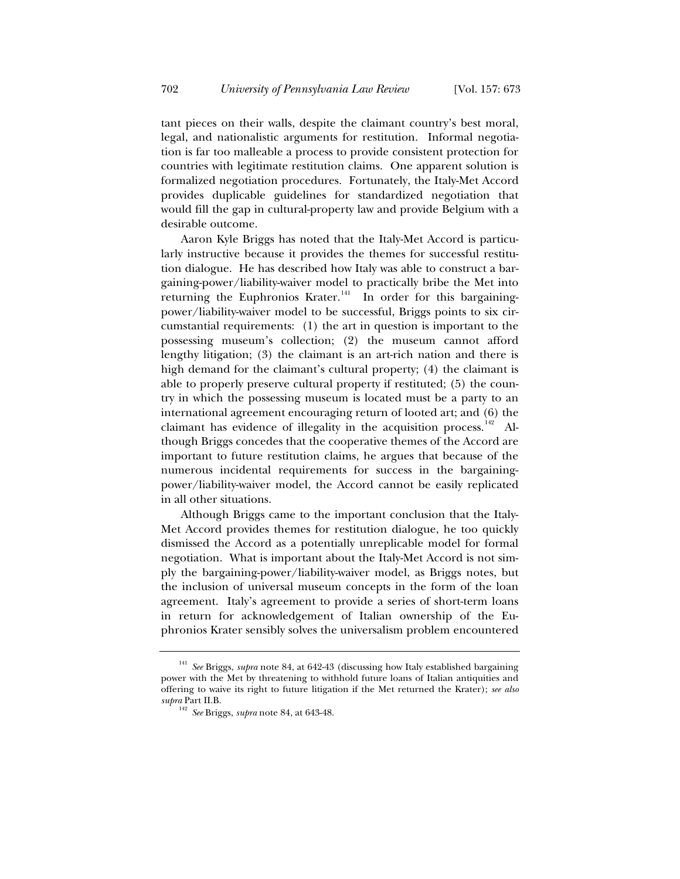tant pieces on their walls, despite the claimant country's best moral, legal, and nationalistic arguments for restitution. Informal negotiation is far too malleable a process to provide consistent protection for countries with legitimate restitution claims. One apparent solution is formalized negotiation procedures. Fortunately, the Italy-Met Accord provides duplicable guidelines for standardized negotiation that would fill the gap in cultural-property law and provide Belgium with a desirable outcome.

Aaron Kyle Briggs has noted that the Italy-Met Accord is particularly instructive because it provides the themes for successful restitution dialogue. He has described how Italy was able to construct a bargaining-power/liability-waiver model to practically bribe the Met into returning the Euphronios Krater.<sup>141</sup> In order for this bargainingpower/liability-waiver model to be successful, Briggs points to six circumstantial requirements: (1) the art in question is important to the possessing museum's collection; (2) the museum cannot afford lengthy litigation; (3) the claimant is an art-rich nation and there is high demand for the claimant's cultural property; (4) the claimant is able to properly preserve cultural property if restituted; (5) the country in which the possessing museum is located must be a party to an international agreement encouraging return of looted art; and (6) the claimant has evidence of illegality in the acquisition process.<sup>142</sup> Although Briggs concedes that the cooperative themes of the Accord are important to future restitution claims, he argues that because of the numerous incidental requirements for success in the bargainingpower/liability-waiver model, the Accord cannot be easily replicated in all other situations.

Although Briggs came to the important conclusion that the Italy-Met Accord provides themes for restitution dialogue, he too quickly dismissed the Accord as a potentially unreplicable model for formal negotiation. What is important about the Italy-Met Accord is not simply the bargaining-power/liability-waiver model, as Briggs notes, but the inclusion of universal museum concepts in the form of the loan agreement. Italy's agreement to provide a series of short-term loans in return for acknowledgement of Italian ownership of the Euphronios Krater sensibly solves the universalism problem encountered

<sup>141</sup> *See* Briggs, *supra* note 84, at 642-43 (discussing how Italy established bargaining power with the Met by threatening to withhold future loans of Italian antiquities and offering to waive its right to future litigation if the Met returned the Krater); *see also supra* Part II.B.

<sup>142</sup> *See* Briggs, *supra* note 84, at 643-48.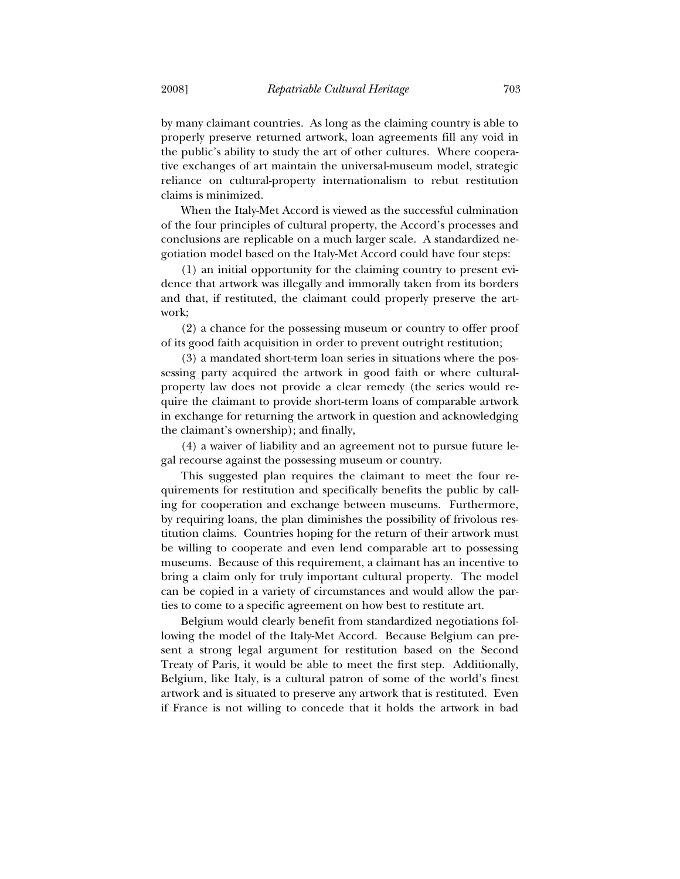by many claimant countries. As long as the claiming country is able to properly preserve returned artwork, loan agreements fill any void in the public's ability to study the art of other cultures. Where cooperative exchanges of art maintain the universal-museum model, strategic reliance on cultural-property internationalism to rebut restitution claims is minimized.

When the Italy-Met Accord is viewed as the successful culmination of the four principles of cultural property, the Accord's processes and conclusions are replicable on a much larger scale. A standardized negotiation model based on the Italy-Met Accord could have four steps:

(1) an initial opportunity for the claiming country to present evidence that artwork was illegally and immorally taken from its borders and that, if restituted, the claimant could properly preserve the artwork;

(2) a chance for the possessing museum or country to offer proof of its good faith acquisition in order to prevent outright restitution;

(3) a mandated short-term loan series in situations where the possessing party acquired the artwork in good faith or where culturalproperty law does not provide a clear remedy (the series would require the claimant to provide short-term loans of comparable artwork in exchange for returning the artwork in question and acknowledging the claimant's ownership); and finally,

(4) a waiver of liability and an agreement not to pursue future legal recourse against the possessing museum or country.

This suggested plan requires the claimant to meet the four requirements for restitution and specifically benefits the public by calling for cooperation and exchange between museums. Furthermore, by requiring loans, the plan diminishes the possibility of frivolous restitution claims. Countries hoping for the return of their artwork must be willing to cooperate and even lend comparable art to possessing museums. Because of this requirement, a claimant has an incentive to bring a claim only for truly important cultural property. The model can be copied in a variety of circumstances and would allow the parties to come to a specific agreement on how best to restitute art.

Belgium would clearly benefit from standardized negotiations following the model of the Italy-Met Accord. Because Belgium can present a strong legal argument for restitution based on the Second Treaty of Paris, it would be able to meet the first step. Additionally, Belgium, like Italy, is a cultural patron of some of the world's finest artwork and is situated to preserve any artwork that is restituted. Even if France is not willing to concede that it holds the artwork in bad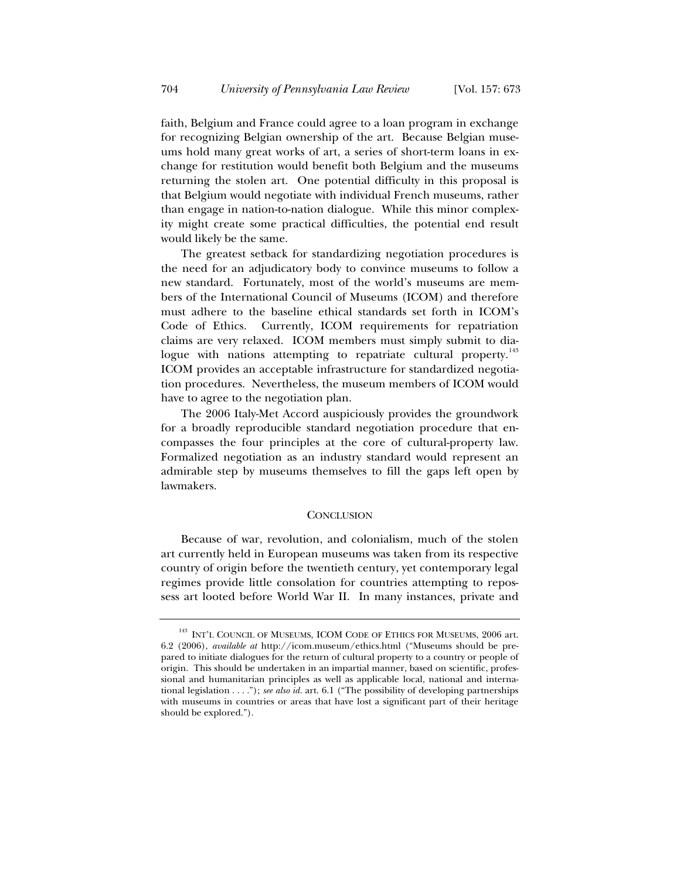faith, Belgium and France could agree to a loan program in exchange for recognizing Belgian ownership of the art. Because Belgian museums hold many great works of art, a series of short-term loans in exchange for restitution would benefit both Belgium and the museums returning the stolen art. One potential difficulty in this proposal is that Belgium would negotiate with individual French museums, rather than engage in nation-to-nation dialogue. While this minor complexity might create some practical difficulties, the potential end result would likely be the same.

The greatest setback for standardizing negotiation procedures is the need for an adjudicatory body to convince museums to follow a new standard. Fortunately, most of the world's museums are members of the International Council of Museums (ICOM) and therefore must adhere to the baseline ethical standards set forth in ICOM's Code of Ethics. Currently, ICOM requirements for repatriation claims are very relaxed. ICOM members must simply submit to dialogue with nations attempting to repatriate cultural property.<sup>143</sup> ICOM provides an acceptable infrastructure for standardized negotiation procedures. Nevertheless, the museum members of ICOM would have to agree to the negotiation plan.

The 2006 Italy-Met Accord auspiciously provides the groundwork for a broadly reproducible standard negotiation procedure that encompasses the four principles at the core of cultural-property law. Formalized negotiation as an industry standard would represent an admirable step by museums themselves to fill the gaps left open by lawmakers.

#### **CONCLUSION**

Because of war, revolution, and colonialism, much of the stolen art currently held in European museums was taken from its respective country of origin before the twentieth century, yet contemporary legal regimes provide little consolation for countries attempting to repossess art looted before World War II. In many instances, private and

 $^{143}$  INT'L COUNCIL OF MUSEUMS, ICOM CODE OF ETHICS FOR MUSEUMS,  $2006$  art. 6.2 (2006), *available at* http://icom.museum/ethics.html ("Museums should be prepared to initiate dialogues for the return of cultural property to a country or people of origin. This should be undertaken in an impartial manner, based on scientific, professional and humanitarian principles as well as applicable local, national and international legislation . . . ."); *see also id.* art. 6.1 ("The possibility of developing partnerships with museums in countries or areas that have lost a significant part of their heritage should be explored.").